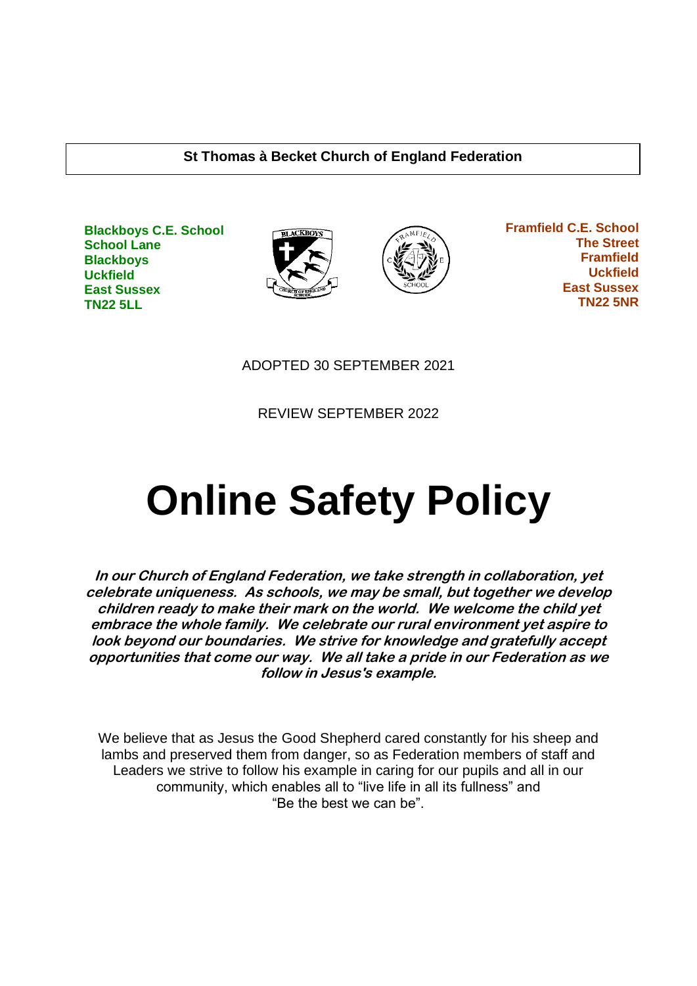#### **St Thomas à Becket Church of England Federation**







 **Framfield C.E. School The Street Framfield Uckfield East Sussex TN22 5NR**

ADOPTED 30 SEPTEMBER 2021

REVIEW SEPTEMBER 2022

# **Online Safety Policy**

**In our Church of England Federation, we take strength in collaboration, yet celebrate uniqueness. As schools, we may be small, but together we develop children ready to make their mark on the world. We welcome the child yet embrace the whole family. We celebrate our rural environment yet aspire to look beyond our boundaries. We strive for knowledge and gratefully accept opportunities that come our way. We all take a pride in our Federation as we follow in Jesus's example.**

We believe that as Jesus the Good Shepherd cared constantly for his sheep and lambs and preserved them from danger, so as Federation members of staff and Leaders we strive to follow his example in caring for our pupils and all in our community, which enables all to "live life in all its fullness" and "Be the best we can be".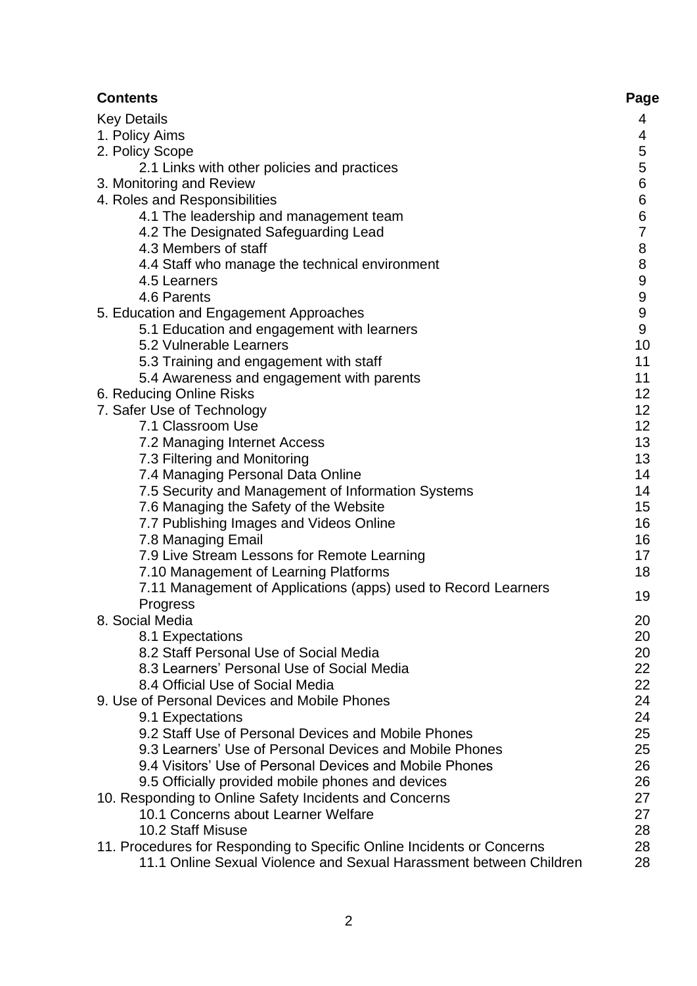| <b>Contents</b>                                                                  | Page           |
|----------------------------------------------------------------------------------|----------------|
| <b>Key Details</b>                                                               | 4              |
| 1. Policy Aims                                                                   | 4              |
| 2. Policy Scope                                                                  | 5              |
| 2.1 Links with other policies and practices                                      | 5              |
| 3. Monitoring and Review                                                         | $\overline{6}$ |
| 4. Roles and Responsibilities                                                    | $\overline{6}$ |
| 4.1 The leadership and management team                                           | $\frac{6}{7}$  |
| 4.2 The Designated Safeguarding Lead                                             |                |
| 4.3 Members of staff                                                             | 8              |
| 4.4 Staff who manage the technical environment                                   | 8              |
| 4.5 Learners                                                                     | 9              |
| 4.6 Parents                                                                      | 9              |
| 5. Education and Engagement Approaches                                           | 9              |
| 5.1 Education and engagement with learners                                       | 9              |
| 5.2 Vulnerable Learners                                                          | 10             |
| 5.3 Training and engagement with staff                                           | 11             |
| 5.4 Awareness and engagement with parents                                        | 11             |
| 6. Reducing Online Risks                                                         | 12             |
| 7. Safer Use of Technology                                                       | 12             |
| 7.1 Classroom Use                                                                | 12             |
| 7.2 Managing Internet Access                                                     | 13             |
| 7.3 Filtering and Monitoring                                                     | 13             |
| 7.4 Managing Personal Data Online                                                | 14             |
| 7.5 Security and Management of Information Systems                               | 14             |
| 7.6 Managing the Safety of the Website                                           | 15             |
| 7.7 Publishing Images and Videos Online                                          | 16             |
| 7.8 Managing Email                                                               | 16             |
| 7.9 Live Stream Lessons for Remote Learning                                      | 17             |
| 7.10 Management of Learning Platforms                                            | 18             |
| 7.11 Management of Applications (apps) used to Record Learners                   | 19             |
| Progress                                                                         |                |
| 8. Social Media                                                                  | 20             |
| 8.1 Expectations                                                                 | 20             |
| 8.2 Staff Personal Use of Social Media                                           | 20             |
| 8.3 Learners' Personal Use of Social Media                                       | 22             |
| 8.4 Official Use of Social Media<br>9. Use of Personal Devices and Mobile Phones | 22<br>24       |
|                                                                                  | 24             |
| 9.1 Expectations<br>9.2 Staff Use of Personal Devices and Mobile Phones          | 25             |
| 9.3 Learners' Use of Personal Devices and Mobile Phones                          | 25             |
| 9.4 Visitors' Use of Personal Devices and Mobile Phones                          | 26             |
| 9.5 Officially provided mobile phones and devices                                | 26             |
| 10. Responding to Online Safety Incidents and Concerns                           | 27             |
| 10.1 Concerns about Learner Welfare                                              | 27             |
| 10.2 Staff Misuse                                                                | 28             |
| 11. Procedures for Responding to Specific Online Incidents or Concerns           | 28             |
| 11.1 Online Sexual Violence and Sexual Harassment between Children               | 28             |
|                                                                                  |                |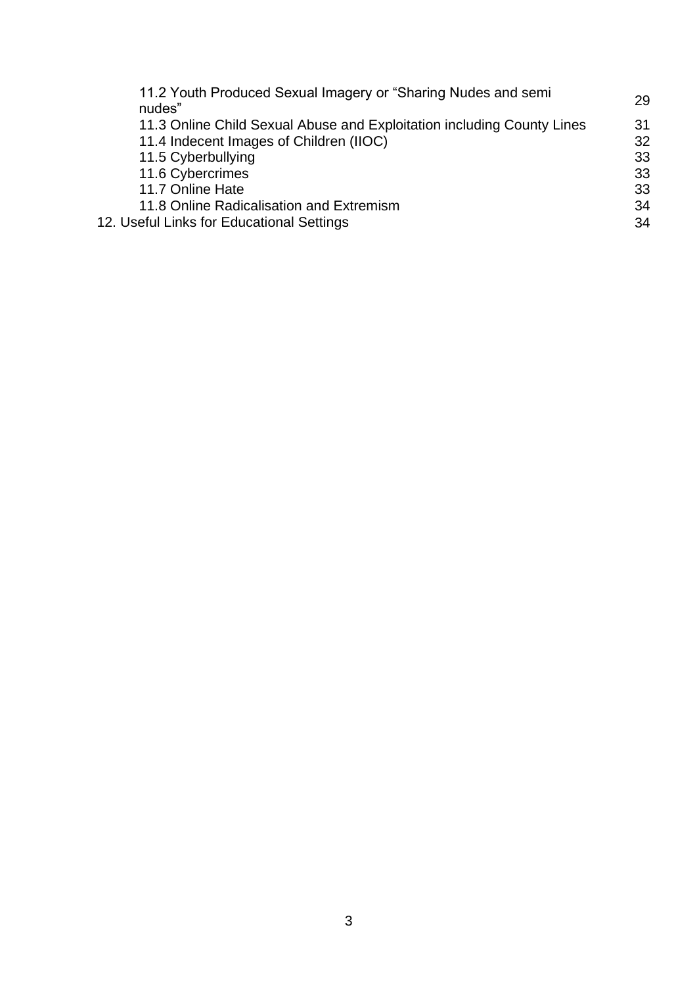| 11.2 Youth Produced Sexual Imagery or "Sharing Nudes and semi<br>nudes" | 29 |
|-------------------------------------------------------------------------|----|
| 11.3 Online Child Sexual Abuse and Exploitation including County Lines  | 31 |
| 11.4 Indecent Images of Children (IIOC)                                 | 32 |
| 11.5 Cyberbullying                                                      | 33 |
| 11.6 Cybercrimes                                                        | 33 |
| 11.7 Online Hate                                                        | 33 |
| 11.8 Online Radicalisation and Extremism                                | 34 |
| 12. Useful Links for Educational Settings                               | 34 |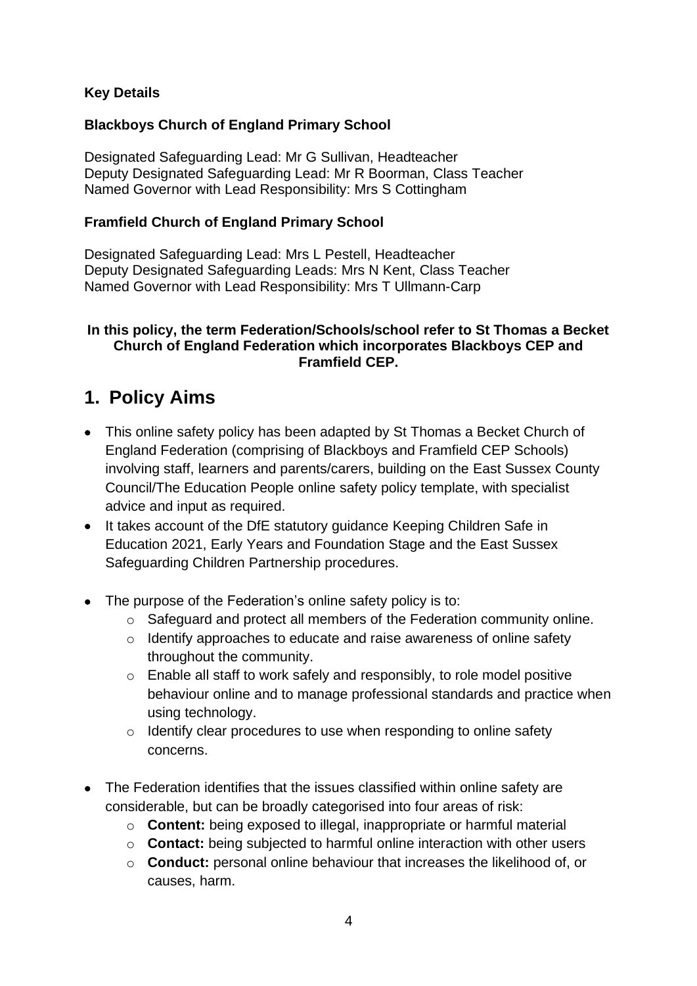#### **Key Details**

#### **Blackboys Church of England Primary School**

Designated Safeguarding Lead: Mr G Sullivan, Headteacher Deputy Designated Safeguarding Lead: Mr R Boorman, Class Teacher Named Governor with Lead Responsibility: Mrs S Cottingham

#### **Framfield Church of England Primary School**

Designated Safeguarding Lead: Mrs L Pestell, Headteacher Deputy Designated Safeguarding Leads: Mrs N Kent, Class Teacher Named Governor with Lead Responsibility: Mrs T Ullmann-Carp

#### **In this policy, the term Federation/Schools/school refer to St Thomas a Becket Church of England Federation which incorporates Blackboys CEP and Framfield CEP.**

# **1. Policy Aims**

- This online safety policy has been adapted by St Thomas a Becket Church of England Federation (comprising of Blackboys and Framfield CEP Schools) involving staff, learners and parents/carers, building on the East Sussex County Council/The Education People online safety policy template, with specialist advice and input as required.
- It takes account of the DfE statutory guidance Keeping Children Safe in Education 2021, Early Years and Foundation Stage and the East Sussex Safeguarding Children Partnership procedures.
- The purpose of the Federation's online safety policy is to:
	- o Safeguard and protect all members of the Federation community online.
	- o Identify approaches to educate and raise awareness of online safety throughout the community.
	- o Enable all staff to work safely and responsibly, to role model positive behaviour online and to manage professional standards and practice when using technology.
	- o Identify clear procedures to use when responding to online safety concerns.
- The Federation identifies that the issues classified within online safety are considerable, but can be broadly categorised into four areas of risk:
	- o **Content:** being exposed to illegal, inappropriate or harmful material
	- o **Contact:** being subjected to harmful online interaction with other users
	- o **Conduct:** personal online behaviour that increases the likelihood of, or causes, harm.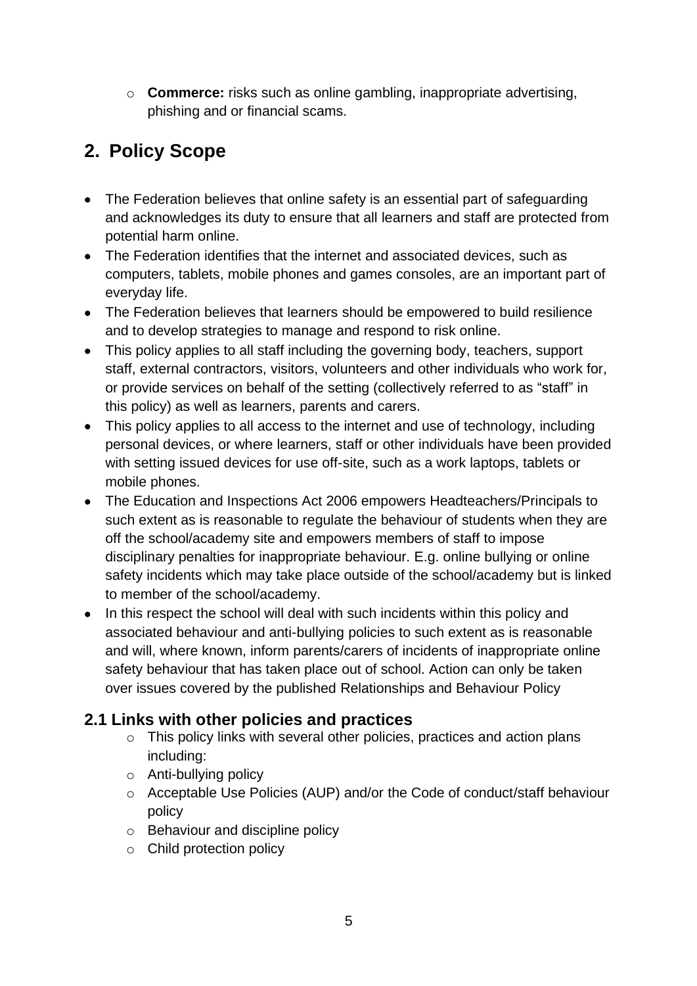o **Commerce:** risks such as online gambling, inappropriate advertising, phishing and or financial scams.

# **2. Policy Scope**

- The Federation believes that online safety is an essential part of safeguarding and acknowledges its duty to ensure that all learners and staff are protected from potential harm online.
- The Federation identifies that the internet and associated devices, such as computers, tablets, mobile phones and games consoles, are an important part of everyday life.
- The Federation believes that learners should be empowered to build resilience and to develop strategies to manage and respond to risk online.
- This policy applies to all staff including the governing body, teachers, support staff, external contractors, visitors, volunteers and other individuals who work for, or provide services on behalf of the setting (collectively referred to as "staff" in this policy) as well as learners, parents and carers.
- This policy applies to all access to the internet and use of technology, including personal devices, or where learners, staff or other individuals have been provided with setting issued devices for use off-site, such as a work laptops, tablets or mobile phones.
- The Education and Inspections Act 2006 empowers Headteachers/Principals to such extent as is reasonable to regulate the behaviour of students when they are off the school/academy site and empowers members of staff to impose disciplinary penalties for inappropriate behaviour. E.g. online bullying or online safety incidents which may take place outside of the school/academy but is linked to member of the school/academy.
- In this respect the school will deal with such incidents within this policy and associated behaviour and anti-bullying policies to such extent as is reasonable and will, where known, inform parents/carers of incidents of inappropriate online safety behaviour that has taken place out of school. Action can only be taken over issues covered by the published Relationships and Behaviour Policy

# **2.1 Links with other policies and practices**

- o This policy links with several other policies, practices and action plans including:
- o Anti-bullying policy
- o Acceptable Use Policies (AUP) and/or the Code of conduct/staff behaviour policy
- o Behaviour and discipline policy
- o Child protection policy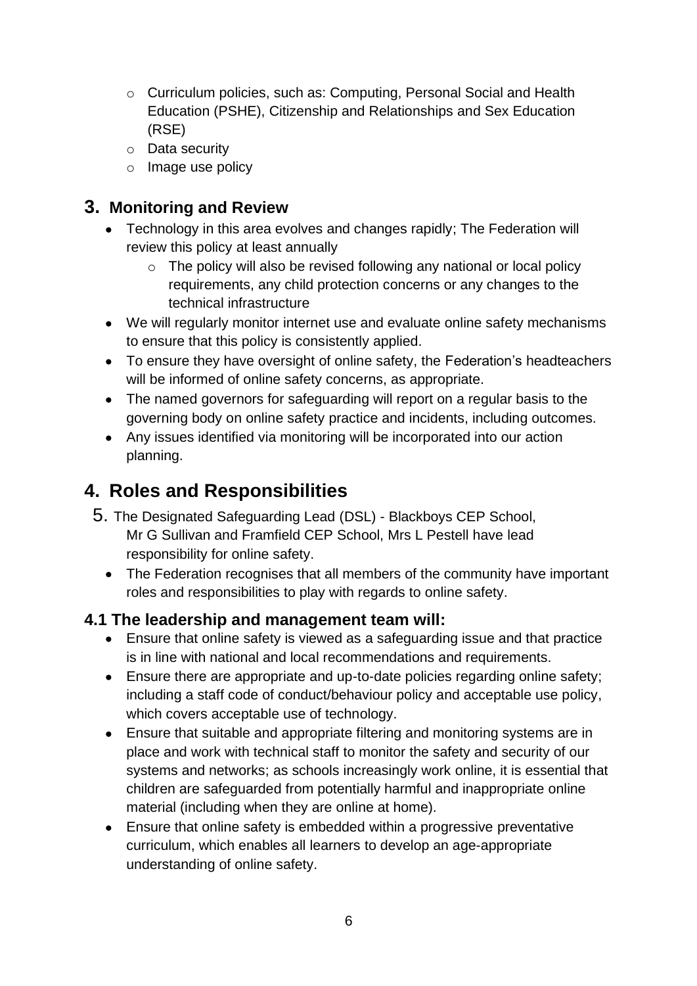- o Curriculum policies, such as: Computing, Personal Social and Health Education (PSHE), Citizenship and Relationships and Sex Education (RSE)
- o Data security
- o Image use policy

# **3. Monitoring and Review**

- Technology in this area evolves and changes rapidly; The Federation will review this policy at least annually
	- o The policy will also be revised following any national or local policy requirements, any child protection concerns or any changes to the technical infrastructure
- We will regularly monitor internet use and evaluate online safety mechanisms to ensure that this policy is consistently applied.
- To ensure they have oversight of online safety, the Federation's headteachers will be informed of online safety concerns, as appropriate.
- The named governors for safeguarding will report on a regular basis to the governing body on online safety practice and incidents, including outcomes.
- Any issues identified via monitoring will be incorporated into our action planning.

# **4. Roles and Responsibilities**

- 5. The Designated Safeguarding Lead (DSL) Blackboys CEP School, Mr G Sullivan and Framfield CEP School, Mrs L Pestell have lead responsibility for online safety.
	- The Federation recognises that all members of the community have important roles and responsibilities to play with regards to online safety.

# **4.1 The leadership and management team will:**

- Ensure that online safety is viewed as a safeguarding issue and that practice is in line with national and local recommendations and requirements.
- Ensure there are appropriate and up-to-date policies regarding online safety; including a staff code of conduct/behaviour policy and acceptable use policy, which covers acceptable use of technology.
- Ensure that suitable and appropriate filtering and monitoring systems are in place and work with technical staff to monitor the safety and security of our systems and networks; as schools increasingly work online, it is essential that children are safeguarded from potentially harmful and inappropriate online material (including when they are online at home).
- Ensure that online safety is embedded within a progressive preventative curriculum, which enables all learners to develop an age-appropriate understanding of online safety.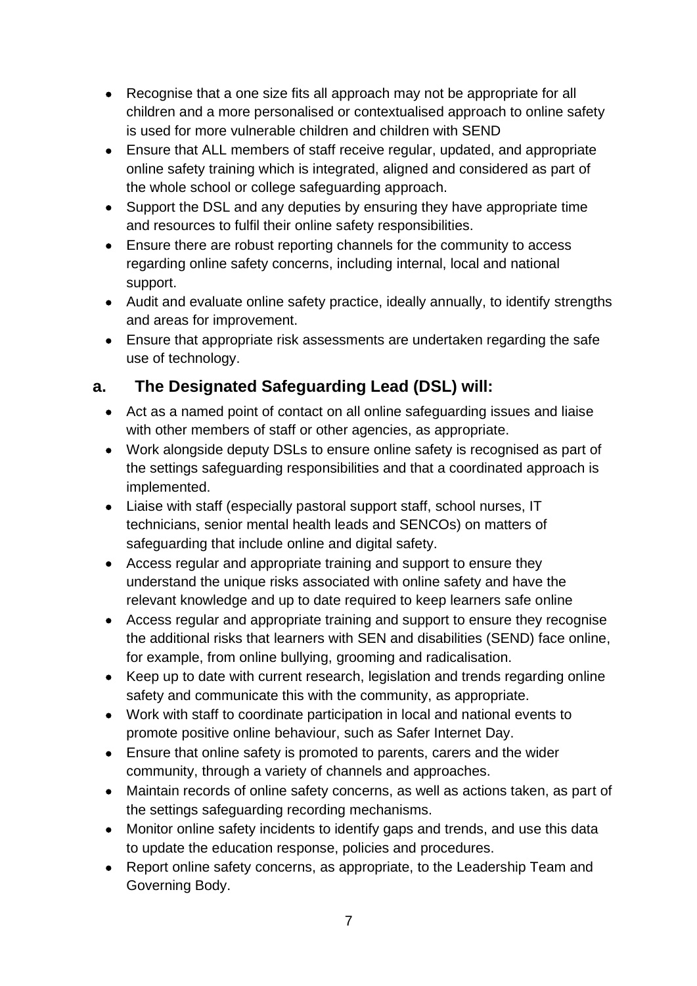- Recognise that a one size fits all approach may not be appropriate for all children and a more personalised or contextualised approach to online safety is used for more vulnerable children and children with SEND
- Ensure that ALL members of staff receive regular, updated, and appropriate online safety training which is integrated, aligned and considered as part of the whole school or college safeguarding approach.
- Support the DSL and any deputies by ensuring they have appropriate time and resources to fulfil their online safety responsibilities.
- Ensure there are robust reporting channels for the community to access regarding online safety concerns, including internal, local and national support.
- Audit and evaluate online safety practice, ideally annually, to identify strengths and areas for improvement.
- Ensure that appropriate risk assessments are undertaken regarding the safe use of technology.

# **a. The Designated Safeguarding Lead (DSL) will:**

- Act as a named point of contact on all online safeguarding issues and liaise with other members of staff or other agencies, as appropriate.
- Work alongside deputy DSLs to ensure online safety is recognised as part of the settings safeguarding responsibilities and that a coordinated approach is implemented.
- Liaise with staff (especially pastoral support staff, school nurses, IT technicians, senior mental health leads and SENCOs) on matters of safeguarding that include online and digital safety.
- Access regular and appropriate training and support to ensure they understand the unique risks associated with online safety and have the relevant knowledge and up to date required to keep learners safe online
- Access regular and appropriate training and support to ensure they recognise the additional risks that learners with SEN and disabilities (SEND) face online, for example, from online bullying, grooming and radicalisation.
- Keep up to date with current research, legislation and trends regarding online safety and communicate this with the community, as appropriate.
- Work with staff to coordinate participation in local and national events to promote positive online behaviour, such as Safer Internet Day.
- Ensure that online safety is promoted to parents, carers and the wider community, through a variety of channels and approaches.
- Maintain records of online safety concerns, as well as actions taken, as part of the settings safeguarding recording mechanisms.
- Monitor online safety incidents to identify gaps and trends, and use this data to update the education response, policies and procedures.
- Report online safety concerns, as appropriate, to the Leadership Team and Governing Body.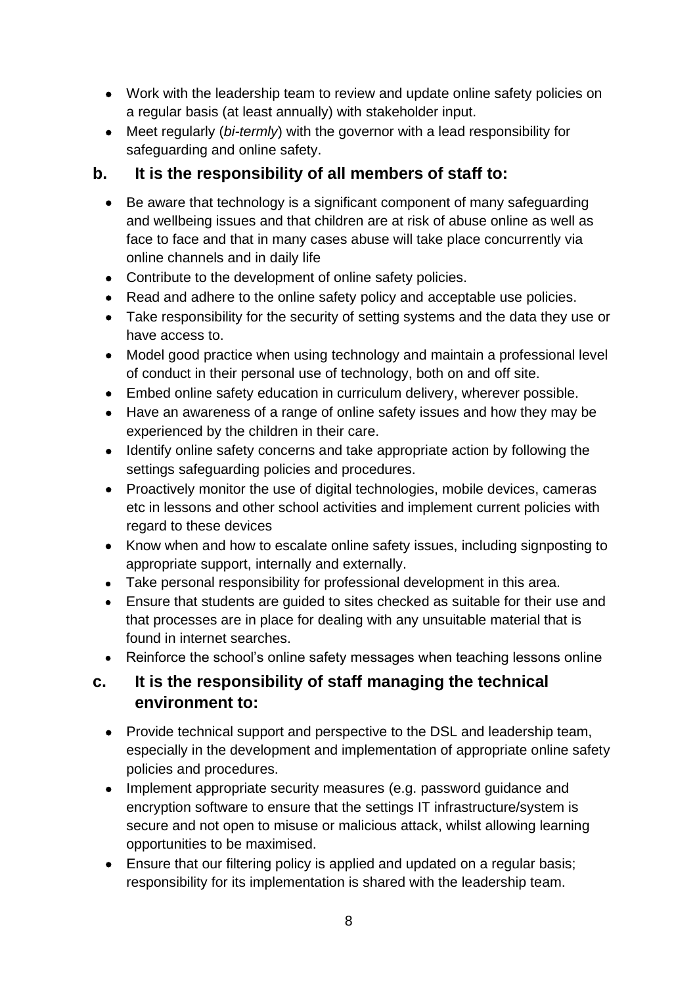- Work with the leadership team to review and update online safety policies on a regular basis (at least annually) with stakeholder input.
- Meet regularly (*bi-termly*) with the governor with a lead responsibility for safeguarding and online safety.

# **b. It is the responsibility of all members of staff to:**

- Be aware that technology is a significant component of many safeguarding and wellbeing issues and that children are at risk of abuse online as well as face to face and that in many cases abuse will take place concurrently via online channels and in daily life
- Contribute to the development of online safety policies.
- Read and adhere to the online safety policy and acceptable use policies.
- Take responsibility for the security of setting systems and the data they use or have access to.
- Model good practice when using technology and maintain a professional level of conduct in their personal use of technology, both on and off site.
- Embed online safety education in curriculum delivery, wherever possible.
- Have an awareness of a range of online safety issues and how they may be experienced by the children in their care.
- Identify online safety concerns and take appropriate action by following the settings safeguarding policies and procedures.
- Proactively monitor the use of digital technologies, mobile devices, cameras etc in lessons and other school activities and implement current policies with regard to these devices
- Know when and how to escalate online safety issues, including signposting to appropriate support, internally and externally.
- Take personal responsibility for professional development in this area.
- Ensure that students are guided to sites checked as suitable for their use and that processes are in place for dealing with any unsuitable material that is found in internet searches.
- Reinforce the school's online safety messages when teaching lessons online

# **c. It is the responsibility of staff managing the technical environment to:**

- Provide technical support and perspective to the DSL and leadership team, especially in the development and implementation of appropriate online safety policies and procedures.
- Implement appropriate security measures (e.g. password guidance and encryption software to ensure that the settings IT infrastructure/system is secure and not open to misuse or malicious attack, whilst allowing learning opportunities to be maximised.
- Ensure that our filtering policy is applied and updated on a regular basis; responsibility for its implementation is shared with the leadership team.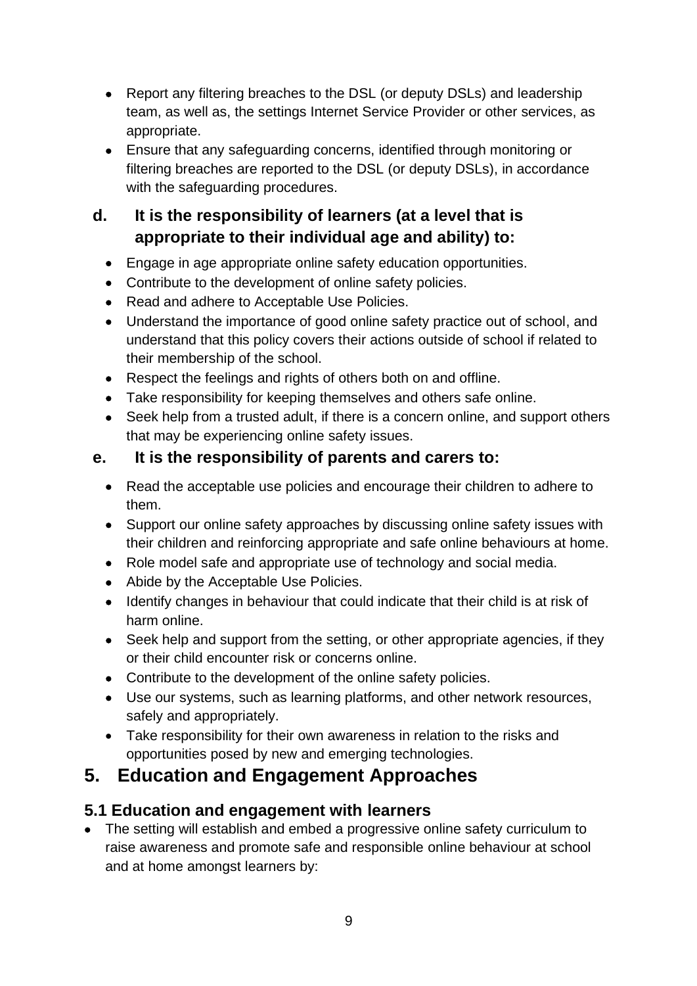- Report any filtering breaches to the DSL (or deputy DSLs) and leadership team, as well as, the settings Internet Service Provider or other services, as appropriate.
- Ensure that any safeguarding concerns, identified through monitoring or filtering breaches are reported to the DSL (or deputy DSLs), in accordance with the safeguarding procedures.

# **d. It is the responsibility of learners (at a level that is appropriate to their individual age and ability) to:**

- Engage in age appropriate online safety education opportunities.
- Contribute to the development of online safety policies.
- Read and adhere to Acceptable Use Policies.
- Understand the importance of good online safety practice out of school, and understand that this policy covers their actions outside of school if related to their membership of the school.
- Respect the feelings and rights of others both on and offline.
- Take responsibility for keeping themselves and others safe online.
- Seek help from a trusted adult, if there is a concern online, and support others that may be experiencing online safety issues.

# **e. It is the responsibility of parents and carers to:**

- Read the acceptable use policies and encourage their children to adhere to them.
- Support our online safety approaches by discussing online safety issues with their children and reinforcing appropriate and safe online behaviours at home.
- Role model safe and appropriate use of technology and social media.
- Abide by the Acceptable Use Policies.
- Identify changes in behaviour that could indicate that their child is at risk of harm online.
- Seek help and support from the setting, or other appropriate agencies, if they or their child encounter risk or concerns online.
- Contribute to the development of the online safety policies.
- Use our systems, such as learning platforms, and other network resources, safely and appropriately.
- Take responsibility for their own awareness in relation to the risks and opportunities posed by new and emerging technologies.

# **5. Education and Engagement Approaches**

# **5.1 Education and engagement with learners**

• The setting will establish and embed a progressive online safety curriculum to raise awareness and promote safe and responsible online behaviour at school and at home amongst learners by: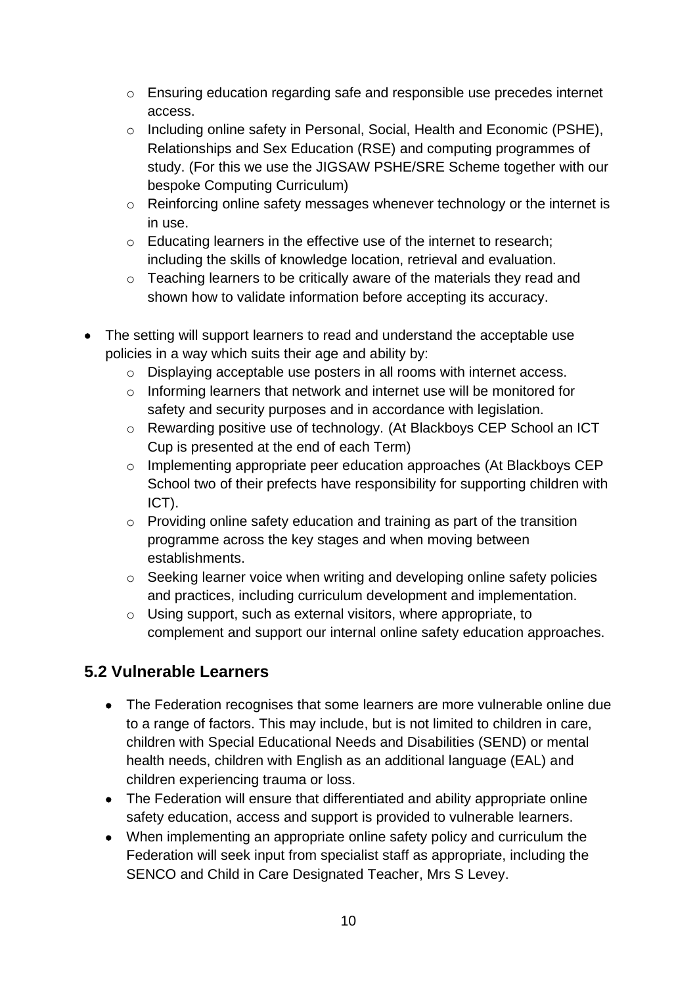- o Ensuring education regarding safe and responsible use precedes internet access.
- o Including online safety in Personal, Social, Health and Economic (PSHE), Relationships and Sex Education (RSE) and computing programmes of study. (For this we use the JIGSAW PSHE/SRE Scheme together with our bespoke Computing Curriculum)
- o Reinforcing online safety messages whenever technology or the internet is in use.
- o Educating learners in the effective use of the internet to research; including the skills of knowledge location, retrieval and evaluation.
- o Teaching learners to be critically aware of the materials they read and shown how to validate information before accepting its accuracy.
- The setting will support learners to read and understand the acceptable use policies in a way which suits their age and ability by:
	- o Displaying acceptable use posters in all rooms with internet access.
	- o Informing learners that network and internet use will be monitored for safety and security purposes and in accordance with legislation.
	- o Rewarding positive use of technology. (At Blackboys CEP School an ICT Cup is presented at the end of each Term)
	- o Implementing appropriate peer education approaches (At Blackboys CEP School two of their prefects have responsibility for supporting children with ICT).
	- o Providing online safety education and training as part of the transition programme across the key stages and when moving between establishments.
	- o Seeking learner voice when writing and developing online safety policies and practices, including curriculum development and implementation.
	- o Using support, such as external visitors, where appropriate, to complement and support our internal online safety education approaches.

# **5.2 Vulnerable Learners**

- The Federation recognises that some learners are more vulnerable online due to a range of factors. This may include, but is not limited to children in care, children with Special Educational Needs and Disabilities (SEND) or mental health needs, children with English as an additional language (EAL) and children experiencing trauma or loss.
- The Federation will ensure that differentiated and ability appropriate online safety education, access and support is provided to vulnerable learners.
- When implementing an appropriate online safety policy and curriculum the Federation will seek input from specialist staff as appropriate, including the SENCO and Child in Care Designated Teacher, Mrs S Levey.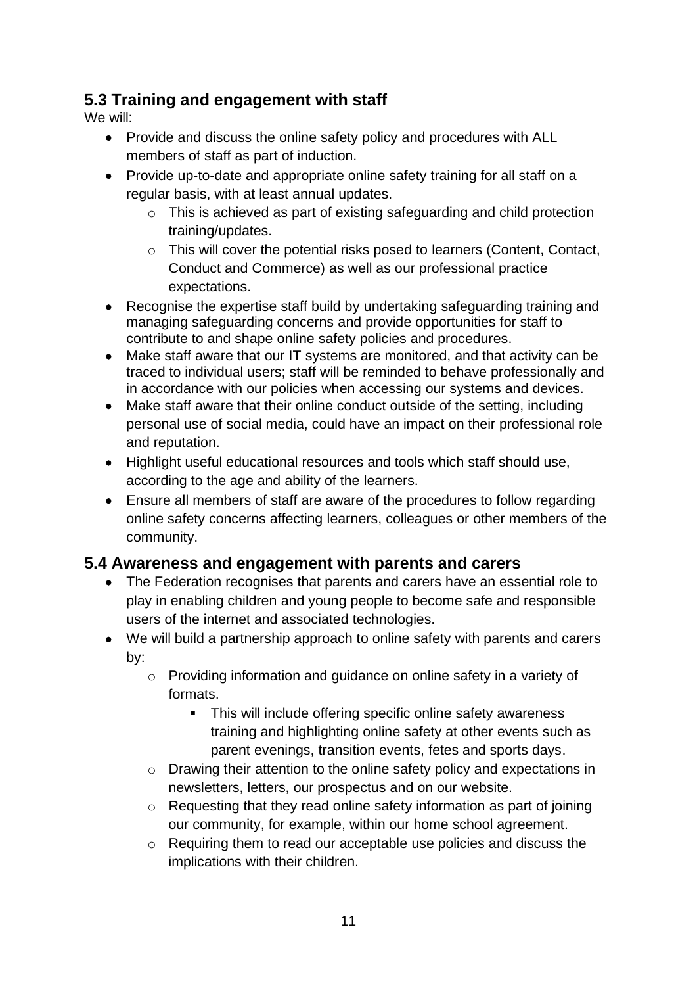# **5.3 Training and engagement with staff**

We will:

- Provide and discuss the online safety policy and procedures with ALL members of staff as part of induction.
- Provide up-to-date and appropriate online safety training for all staff on a regular basis, with at least annual updates.
	- o This is achieved as part of existing safeguarding and child protection training/updates.
	- o This will cover the potential risks posed to learners (Content, Contact, Conduct and Commerce) as well as our professional practice expectations.
- Recognise the expertise staff build by undertaking safeguarding training and managing safeguarding concerns and provide opportunities for staff to contribute to and shape online safety policies and procedures.
- Make staff aware that our IT systems are monitored, and that activity can be traced to individual users; staff will be reminded to behave professionally and in accordance with our policies when accessing our systems and devices.
- Make staff aware that their online conduct outside of the setting, including personal use of social media, could have an impact on their professional role and reputation.
- Highlight useful educational resources and tools which staff should use, according to the age and ability of the learners.
- Ensure all members of staff are aware of the procedures to follow regarding online safety concerns affecting learners, colleagues or other members of the community.

### **5.4 Awareness and engagement with parents and carers**

- The Federation recognises that parents and carers have an essential role to play in enabling children and young people to become safe and responsible users of the internet and associated technologies.
- We will build a partnership approach to online safety with parents and carers by:
	- o Providing information and guidance on online safety in a variety of formats.
		- This will include offering specific online safety awareness training and highlighting online safety at other events such as parent evenings, transition events, fetes and sports days.
	- o Drawing their attention to the online safety policy and expectations in newsletters, letters, our prospectus and on our website.
	- o Requesting that they read online safety information as part of joining our community, for example, within our home school agreement.
	- o Requiring them to read our acceptable use policies and discuss the implications with their children.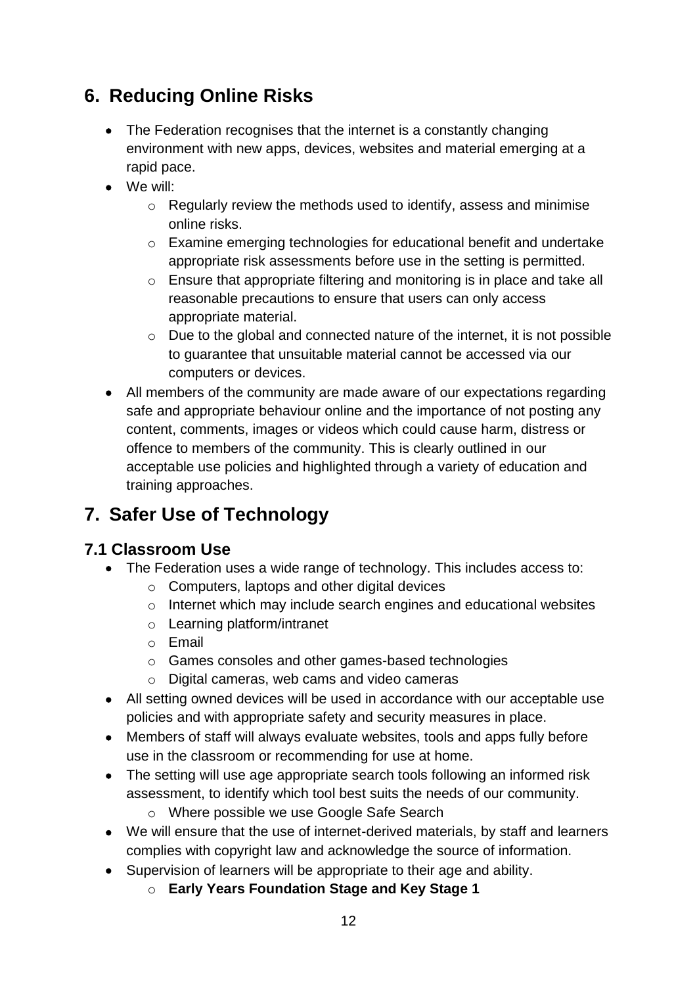# **6. Reducing Online Risks**

- The Federation recognises that the internet is a constantly changing environment with new apps, devices, websites and material emerging at a rapid pace.
- We will:
	- o Regularly review the methods used to identify, assess and minimise online risks.
	- o Examine emerging technologies for educational benefit and undertake appropriate risk assessments before use in the setting is permitted.
	- o Ensure that appropriate filtering and monitoring is in place and take all reasonable precautions to ensure that users can only access appropriate material.
	- o Due to the global and connected nature of the internet, it is not possible to guarantee that unsuitable material cannot be accessed via our computers or devices.
- All members of the community are made aware of our expectations regarding safe and appropriate behaviour online and the importance of not posting any content, comments, images or videos which could cause harm, distress or offence to members of the community. This is clearly outlined in our acceptable use policies and highlighted through a variety of education and training approaches.

# **7. Safer Use of Technology**

### **7.1 Classroom Use**

- The Federation uses a wide range of technology. This includes access to:
	- o Computers, laptops and other digital devices
	- o Internet which may include search engines and educational websites
	- o Learning platform/intranet
	- o Email
	- o Games consoles and other games-based technologies
	- o Digital cameras, web cams and video cameras
- All setting owned devices will be used in accordance with our acceptable use policies and with appropriate safety and security measures in place.
- Members of staff will always evaluate websites, tools and apps fully before use in the classroom or recommending for use at home.
- The setting will use age appropriate search tools following an informed risk assessment, to identify which tool best suits the needs of our community.
	- o Where possible we use Google Safe Search
- We will ensure that the use of internet-derived materials, by staff and learners complies with copyright law and acknowledge the source of information.
- Supervision of learners will be appropriate to their age and ability.
	- o **Early Years Foundation Stage and Key Stage 1**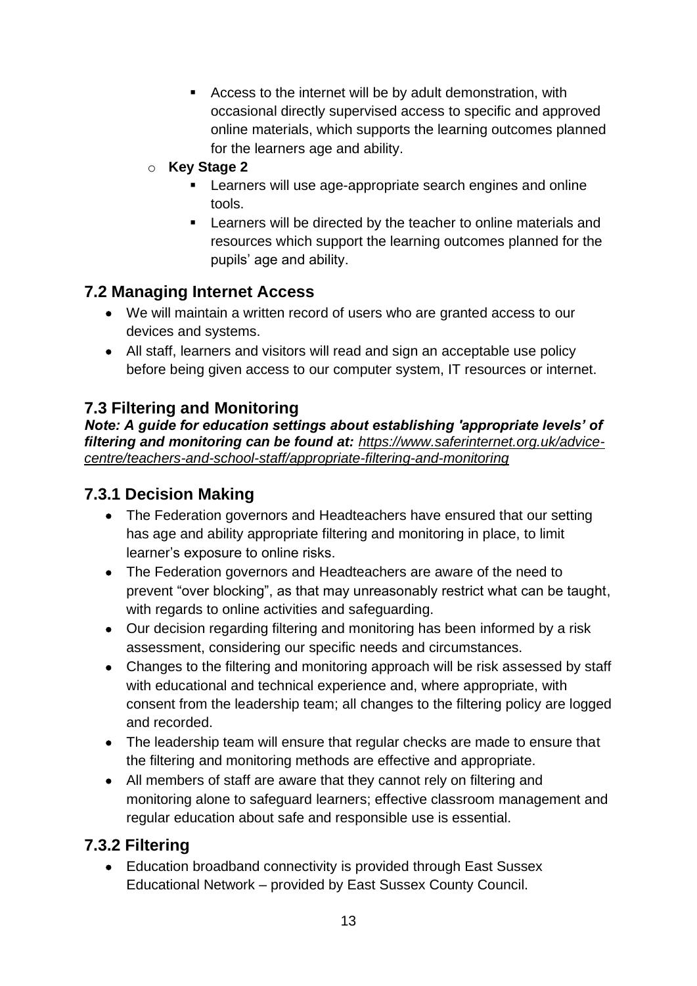- Access to the internet will be by adult demonstration, with occasional directly supervised access to specific and approved online materials, which supports the learning outcomes planned for the learners age and ability.
- o **Key Stage 2** 
	- Learners will use age-appropriate search engines and online tools.
	- **EXECTE 1** Learners will be directed by the teacher to online materials and resources which support the learning outcomes planned for the pupils' age and ability.

# **7.2 Managing Internet Access**

- We will maintain a written record of users who are granted access to our devices and systems.
- All staff, learners and visitors will read and sign an acceptable use policy before being given access to our computer system, IT resources or internet.

# **7.3 Filtering and Monitoring**

*Note: A guide for education settings about establishing 'appropriate levels' of filtering and monitoring can be found at: [https://www.saferinternet.org.uk/advice](https://www.saferinternet.org.uk/advice-centre/teachers-and-school-staff/appropriate-filtering-and-monitoring)[centre/teachers-and-school-staff/appropriate-filtering-and-monitoring](https://www.saferinternet.org.uk/advice-centre/teachers-and-school-staff/appropriate-filtering-and-monitoring)*

# **7.3.1 Decision Making**

- The Federation governors and Headteachers have ensured that our setting has age and ability appropriate filtering and monitoring in place, to limit learner's exposure to online risks.
- The Federation governors and Headteachers are aware of the need to prevent "over blocking", as that may unreasonably restrict what can be taught, with regards to online activities and safeguarding.
- Our decision regarding filtering and monitoring has been informed by a risk assessment, considering our specific needs and circumstances.
- Changes to the filtering and monitoring approach will be risk assessed by staff with educational and technical experience and, where appropriate, with consent from the leadership team; all changes to the filtering policy are logged and recorded.
- The leadership team will ensure that regular checks are made to ensure that the filtering and monitoring methods are effective and appropriate.
- All members of staff are aware that they cannot rely on filtering and monitoring alone to safeguard learners; effective classroom management and regular education about safe and responsible use is essential.

# **7.3.2 Filtering**

• Education broadband connectivity is provided through East Sussex Educational Network – provided by East Sussex County Council.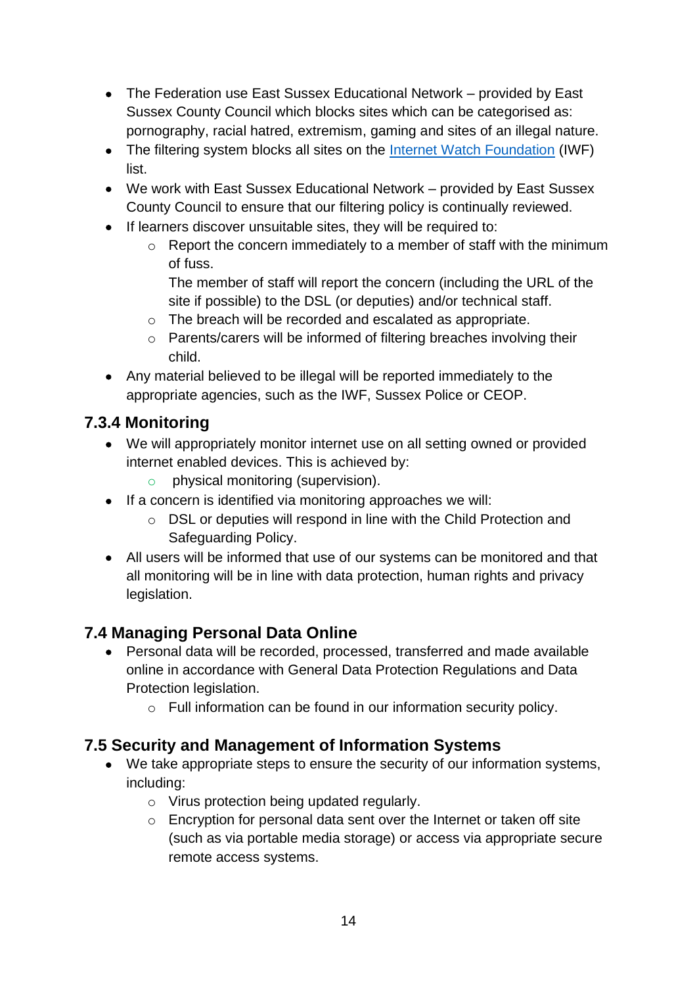- The Federation use East Sussex Educational Network provided by East Sussex County Council which blocks sites which can be categorised as: pornography, racial hatred, extremism, gaming and sites of an illegal nature.
- The filtering system blocks all sites on the [Internet Watch Foundation](https://www.iwf.org.uk/) (IWF) list.
- We work with East Sussex Educational Network provided by East Sussex County Council to ensure that our filtering policy is continually reviewed.
- If learners discover unsuitable sites, they will be required to:
	- $\circ$  Report the concern immediately to a member of staff with the minimum of fuss.

The member of staff will report the concern (including the URL of the site if possible) to the DSL (or deputies) and/or technical staff.

- o The breach will be recorded and escalated as appropriate.
- o Parents/carers will be informed of filtering breaches involving their child.
- Any material believed to be illegal will be reported immediately to the appropriate agencies, such as the IWF, Sussex Police or CEOP.

# **7.3.4 Monitoring**

- We will appropriately monitor internet use on all setting owned or provided internet enabled devices. This is achieved by:
	- o physical monitoring (supervision).
- If a concern is identified via monitoring approaches we will:
	- o DSL or deputies will respond in line with the Child Protection and Safeguarding Policy.
- All users will be informed that use of our systems can be monitored and that all monitoring will be in line with data protection, human rights and privacy legislation.

# **7.4 Managing Personal Data Online**

- Personal data will be recorded, processed, transferred and made available online in accordance with General Data Protection Regulations and Data Protection legislation.
	- o Full information can be found in our information security policy.

# **7.5 Security and Management of Information Systems**

- We take appropriate steps to ensure the security of our information systems, including:
	- o Virus protection being updated regularly.
	- o Encryption for personal data sent over the Internet or taken off site (such as via portable media storage) or access via appropriate secure remote access systems.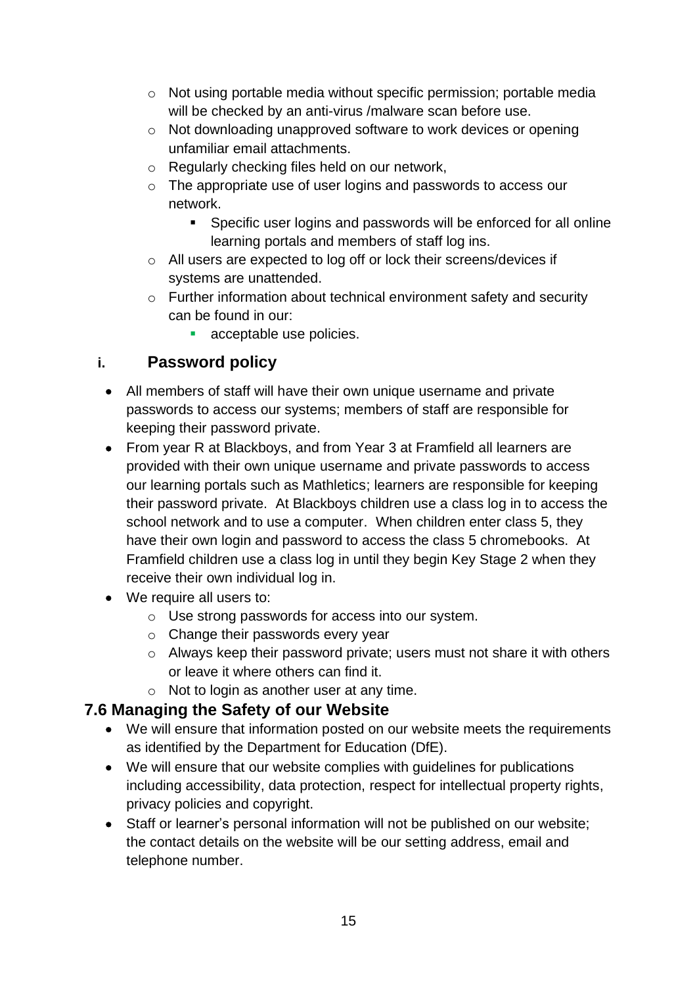- o Not using portable media without specific permission; portable media will be checked by an anti-virus /malware scan before use.
- o Not downloading unapproved software to work devices or opening unfamiliar email attachments.
- o Regularly checking files held on our network,
- o The appropriate use of user logins and passwords to access our network.
	- Specific user logins and passwords will be enforced for all online learning portals and members of staff log ins.
- o All users are expected to log off or lock their screens/devices if systems are unattended.
- o Further information about technical environment safety and security can be found in our:
	- acceptable use policies.

# **i. Password policy**

- All members of staff will have their own unique username and private passwords to access our systems; members of staff are responsible for keeping their password private.
- From year R at Blackboys, and from Year 3 at Framfield all learners are provided with their own unique username and private passwords to access our learning portals such as Mathletics; learners are responsible for keeping their password private. At Blackboys children use a class log in to access the school network and to use a computer. When children enter class 5, they have their own login and password to access the class 5 chromebooks. At Framfield children use a class log in until they begin Key Stage 2 when they receive their own individual log in.
- We require all users to:
	- o Use strong passwords for access into our system.
	- o Change their passwords every year
	- o Always keep their password private; users must not share it with others or leave it where others can find it.
	- $\circ$  Not to login as another user at any time.

# **7.6 Managing the Safety of our Website**

- We will ensure that information posted on our website meets the requirements as identified by the Department for Education (DfE).
- We will ensure that our website complies with guidelines for publications including accessibility, data protection, respect for intellectual property rights, privacy policies and copyright.
- Staff or learner's personal information will not be published on our website; the contact details on the website will be our setting address, email and telephone number.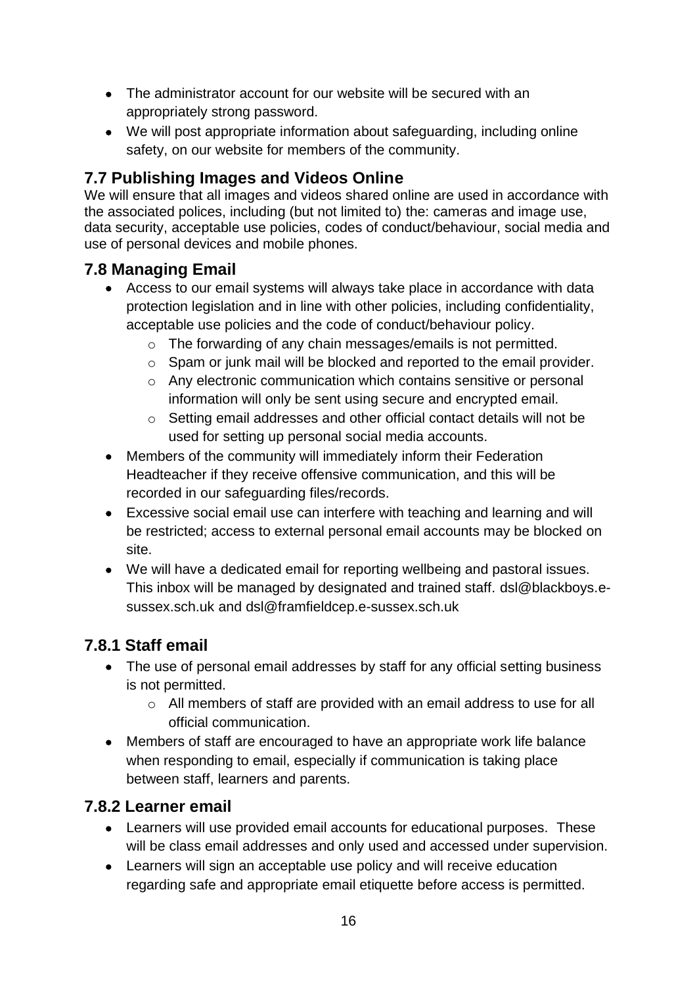- The administrator account for our website will be secured with an appropriately strong password.
- We will post appropriate information about safeguarding, including online safety, on our website for members of the community.

# **7.7 Publishing Images and Videos Online**

We will ensure that all images and videos shared online are used in accordance with the associated polices, including (but not limited to) the: cameras and image use, data security, acceptable use policies, codes of conduct/behaviour, social media and use of personal devices and mobile phones.

# **7.8 Managing Email**

- Access to our email systems will always take place in accordance with data protection legislation and in line with other policies, including confidentiality, acceptable use policies and the code of conduct/behaviour policy.
	- o The forwarding of any chain messages/emails is not permitted.
	- o Spam or junk mail will be blocked and reported to the email provider.
	- o Any electronic communication which contains sensitive or personal information will only be sent using secure and encrypted email.
	- o Setting email addresses and other official contact details will not be used for setting up personal social media accounts.
- Members of the community will immediately inform their Federation Headteacher if they receive offensive communication, and this will be recorded in our safeguarding files/records.
- Excessive social email use can interfere with teaching and learning and will be restricted; access to external personal email accounts may be blocked on site.
- We will have a dedicated email for reporting wellbeing and pastoral issues. This inbox will be managed by designated and trained staff. [dsl@blackboys.e](mailto:dsl@blackboys.e-sussex.sch.uk)[sussex.sch.uk](mailto:dsl@blackboys.e-sussex.sch.uk) and [dsl@framfieldcep.e-sussex.sch.uk](mailto:dsl@framfieldcep.e-sussex.sch.uk)

# **7.8.1 Staff email**

- The use of personal email addresses by staff for any official setting business is not permitted.
	- o All members of staff are provided with an email address to use for all official communication.
- Members of staff are encouraged to have an appropriate work life balance when responding to email, especially if communication is taking place between staff, learners and parents.

### **7.8.2 Learner email**

- Learners will use provided email accounts for educational purposes. These will be class email addresses and only used and accessed under supervision.
- Learners will sign an acceptable use policy and will receive education regarding safe and appropriate email etiquette before access is permitted.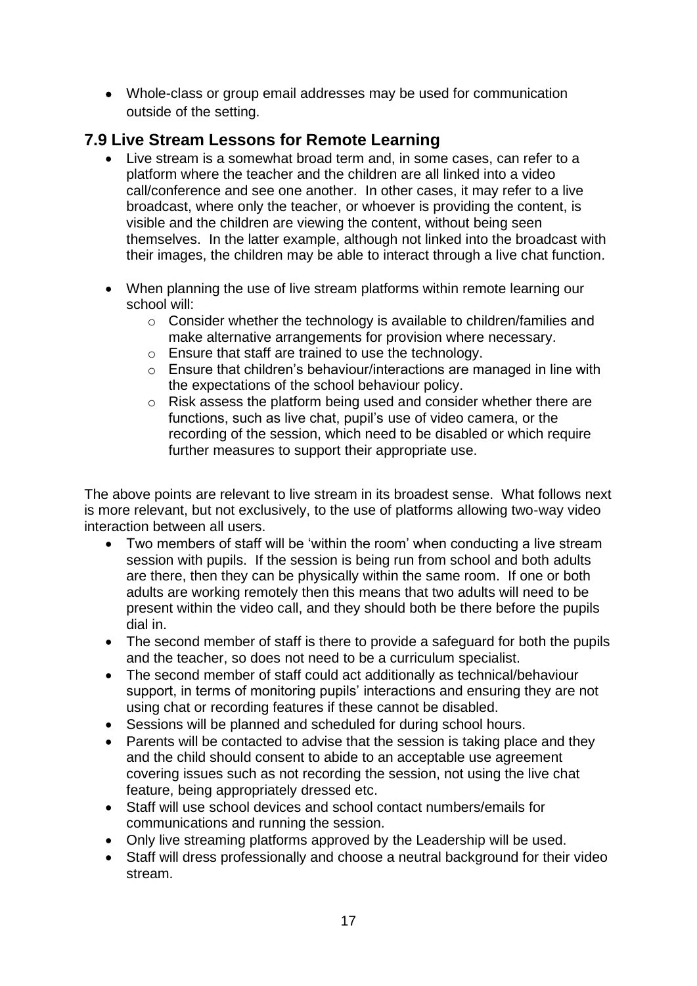• Whole-class or group email addresses may be used for communication outside of the setting.

### **7.9 Live Stream Lessons for Remote Learning**

- Live stream is a somewhat broad term and, in some cases, can refer to a platform where the teacher and the children are all linked into a video call/conference and see one another. In other cases, it may refer to a live broadcast, where only the teacher, or whoever is providing the content, is visible and the children are viewing the content, without being seen themselves. In the latter example, although not linked into the broadcast with their images, the children may be able to interact through a live chat function.
- When planning the use of live stream platforms within remote learning our school will:
	- o Consider whether the technology is available to children/families and make alternative arrangements for provision where necessary.
	- o Ensure that staff are trained to use the technology.
	- o Ensure that children's behaviour/interactions are managed in line with the expectations of the school behaviour policy.
	- o Risk assess the platform being used and consider whether there are functions, such as live chat, pupil's use of video camera, or the recording of the session, which need to be disabled or which require further measures to support their appropriate use.

The above points are relevant to live stream in its broadest sense. What follows next is more relevant, but not exclusively, to the use of platforms allowing two-way video interaction between all users.

- Two members of staff will be 'within the room' when conducting a live stream session with pupils. If the session is being run from school and both adults are there, then they can be physically within the same room. If one or both adults are working remotely then this means that two adults will need to be present within the video call, and they should both be there before the pupils dial in.
- The second member of staff is there to provide a safeguard for both the pupils and the teacher, so does not need to be a curriculum specialist.
- The second member of staff could act additionally as technical/behaviour support, in terms of monitoring pupils' interactions and ensuring they are not using chat or recording features if these cannot be disabled.
- Sessions will be planned and scheduled for during school hours.
- Parents will be contacted to advise that the session is taking place and they and the child should consent to abide to an acceptable use agreement covering issues such as not recording the session, not using the live chat feature, being appropriately dressed etc.
- Staff will use school devices and school contact numbers/emails for communications and running the session.
- Only live streaming platforms approved by the Leadership will be used.
- Staff will dress professionally and choose a neutral background for their video stream.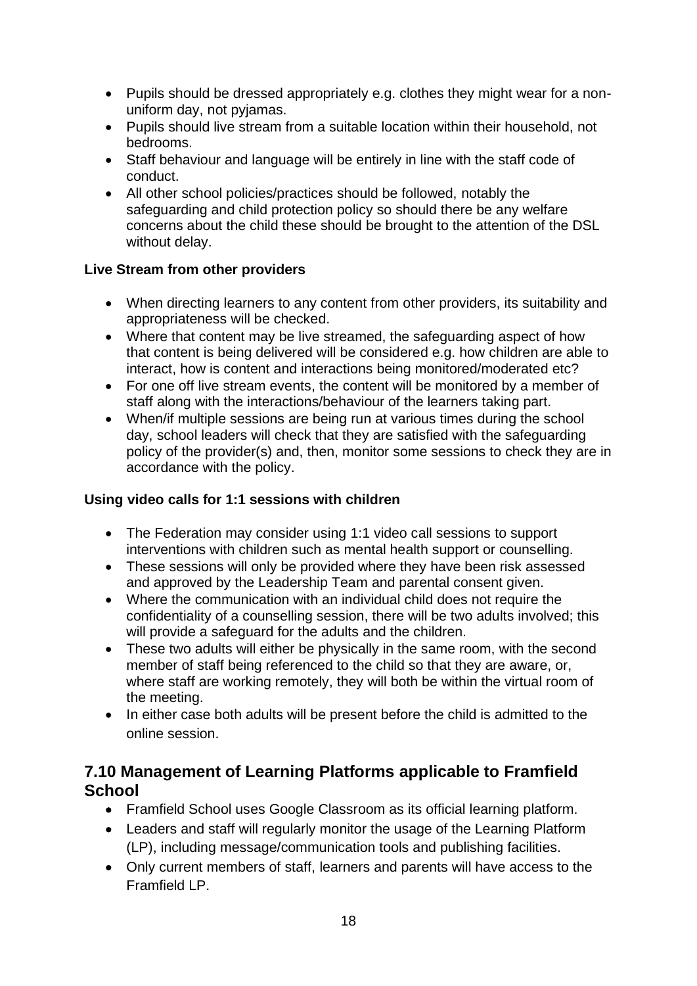- Pupils should be dressed appropriately e.g. clothes they might wear for a nonuniform day, not pyjamas.
- Pupils should live stream from a suitable location within their household, not bedrooms.
- Staff behaviour and language will be entirely in line with the staff code of conduct.
- All other school policies/practices should be followed, notably the safeguarding and child protection policy so should there be any welfare concerns about the child these should be brought to the attention of the DSL without delay.

#### **Live Stream from other providers**

- When directing learners to any content from other providers, its suitability and appropriateness will be checked.
- Where that content may be live streamed, the safeguarding aspect of how that content is being delivered will be considered e.g. how children are able to interact, how is content and interactions being monitored/moderated etc?
- For one off live stream events, the content will be monitored by a member of staff along with the interactions/behaviour of the learners taking part.
- When/if multiple sessions are being run at various times during the school day, school leaders will check that they are satisfied with the safeguarding policy of the provider(s) and, then, monitor some sessions to check they are in accordance with the policy.

#### **Using video calls for 1:1 sessions with children**

- The Federation may consider using 1:1 video call sessions to support interventions with children such as mental health support or counselling.
- These sessions will only be provided where they have been risk assessed and approved by the Leadership Team and parental consent given.
- Where the communication with an individual child does not require the confidentiality of a counselling session, there will be two adults involved; this will provide a safeguard for the adults and the children.
- These two adults will either be physically in the same room, with the second member of staff being referenced to the child so that they are aware, or, where staff are working remotely, they will both be within the virtual room of the meeting.
- In either case both adults will be present before the child is admitted to the online session.

### **7.10 Management of Learning Platforms applicable to Framfield School**

- Framfield School uses Google Classroom as its official learning platform.
- Leaders and staff will regularly monitor the usage of the Learning Platform (LP), including message/communication tools and publishing facilities.
- Only current members of staff, learners and parents will have access to the Framfield LP.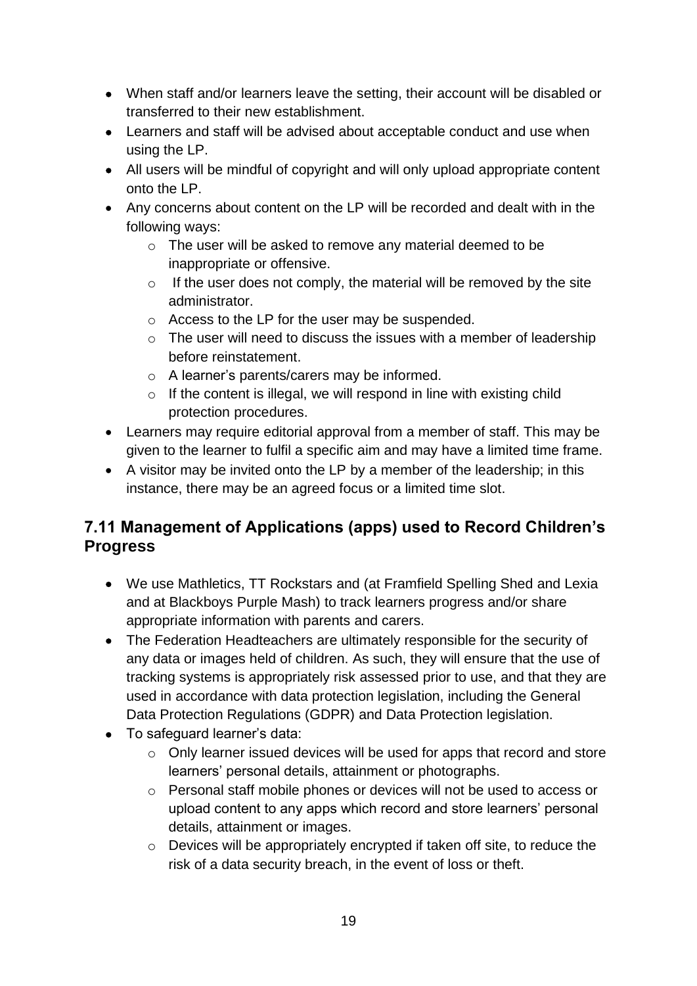- When staff and/or learners leave the setting, their account will be disabled or transferred to their new establishment.
- Learners and staff will be advised about acceptable conduct and use when using the LP.
- All users will be mindful of copyright and will only upload appropriate content onto the LP.
- Any concerns about content on the LP will be recorded and dealt with in the following ways:
	- o The user will be asked to remove any material deemed to be inappropriate or offensive.
	- $\circ$  If the user does not comply, the material will be removed by the site administrator.
	- o Access to the LP for the user may be suspended.
	- $\circ$  The user will need to discuss the issues with a member of leadership before reinstatement.
	- o A learner's parents/carers may be informed.
	- $\circ$  If the content is illegal, we will respond in line with existing child protection procedures.
- Learners may require editorial approval from a member of staff. This may be given to the learner to fulfil a specific aim and may have a limited time frame.
- A visitor may be invited onto the LP by a member of the leadership; in this instance, there may be an agreed focus or a limited time slot.

# **7.11 Management of Applications (apps) used to Record Children's Progress**

- We use Mathletics, TT Rockstars and (at Framfield Spelling Shed and Lexia and at Blackboys Purple Mash) to track learners progress and/or share appropriate information with parents and carers.
- The Federation Headteachers are ultimately responsible for the security of any data or images held of children. As such, they will ensure that the use of tracking systems is appropriately risk assessed prior to use, and that they are used in accordance with data protection legislation, including the General Data Protection Regulations (GDPR) and Data Protection legislation.
- To safeguard learner's data:
	- o Only learner issued devices will be used for apps that record and store learners' personal details, attainment or photographs.
	- o Personal staff mobile phones or devices will not be used to access or upload content to any apps which record and store learners' personal details, attainment or images.
	- o Devices will be appropriately encrypted if taken off site, to reduce the risk of a data security breach, in the event of loss or theft.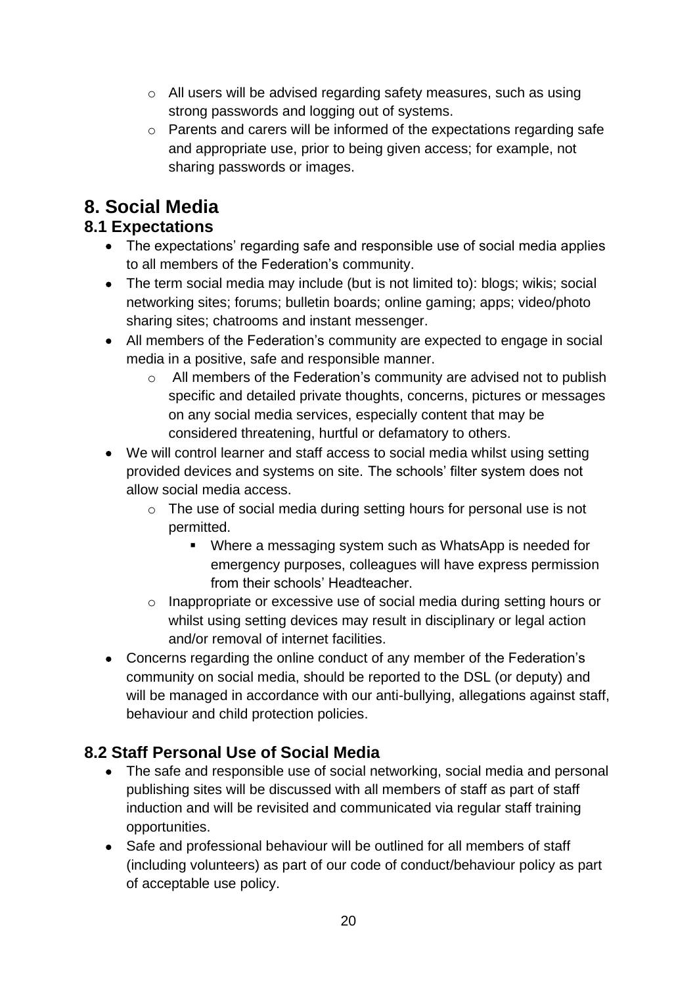- o All users will be advised regarding safety measures, such as using strong passwords and logging out of systems.
- o Parents and carers will be informed of the expectations regarding safe and appropriate use, prior to being given access; for example, not sharing passwords or images.

# **8. Social Media**

# **8.1 Expectations**

- The expectations' regarding safe and responsible use of social media applies to all members of the Federation's community.
- The term social media may include (but is not limited to): blogs; wikis; social networking sites; forums; bulletin boards; online gaming; apps; video/photo sharing sites; chatrooms and instant messenger.
- All members of the Federation's community are expected to engage in social media in a positive, safe and responsible manner.
	- o All members of the Federation's community are advised not to publish specific and detailed private thoughts, concerns, pictures or messages on any social media services, especially content that may be considered threatening, hurtful or defamatory to others.
- We will control learner and staff access to social media whilst using setting provided devices and systems on site. The schools' filter system does not allow social media access.
	- o The use of social media during setting hours for personal use is not permitted.
		- Where a messaging system such as WhatsApp is needed for emergency purposes, colleagues will have express permission from their schools' Headteacher.
	- o Inappropriate or excessive use of social media during setting hours or whilst using setting devices may result in disciplinary or legal action and/or removal of internet facilities.
- Concerns regarding the online conduct of any member of the Federation's community on social media, should be reported to the DSL (or deputy) and will be managed in accordance with our anti-bullying, allegations against staff, behaviour and child protection policies.

# **8.2 Staff Personal Use of Social Media**

- The safe and responsible use of social networking, social media and personal publishing sites will be discussed with all members of staff as part of staff induction and will be revisited and communicated via regular staff training opportunities.
- Safe and professional behaviour will be outlined for all members of staff (including volunteers) as part of our code of conduct/behaviour policy as part of acceptable use policy.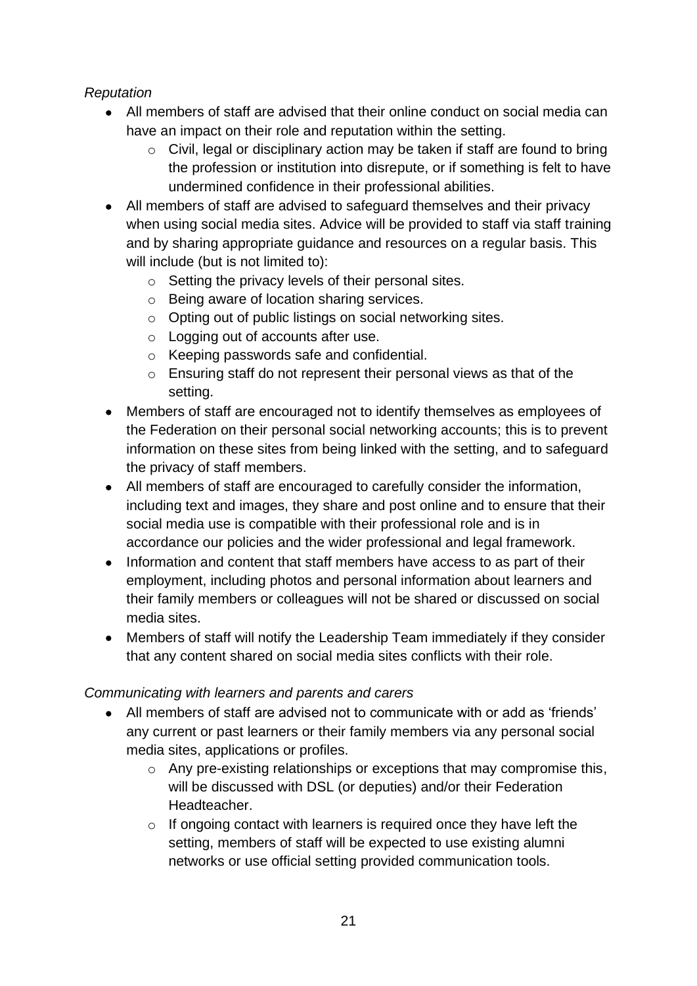#### *Reputation*

- All members of staff are advised that their online conduct on social media can have an impact on their role and reputation within the setting.
	- o Civil, legal or disciplinary action may be taken if staff are found to bring the profession or institution into disrepute, or if something is felt to have undermined confidence in their professional abilities.
- All members of staff are advised to safeguard themselves and their privacy when using social media sites. Advice will be provided to staff via staff training and by sharing appropriate guidance and resources on a regular basis. This will include (but is not limited to):
	- o Setting the privacy levels of their personal sites.
	- o Being aware of location sharing services.
	- o Opting out of public listings on social networking sites.
	- o Logging out of accounts after use.
	- o Keeping passwords safe and confidential.
	- o Ensuring staff do not represent their personal views as that of the setting.
- Members of staff are encouraged not to identify themselves as employees of the Federation on their personal social networking accounts; this is to prevent information on these sites from being linked with the setting, and to safeguard the privacy of staff members.
- All members of staff are encouraged to carefully consider the information, including text and images, they share and post online and to ensure that their social media use is compatible with their professional role and is in accordance our policies and the wider professional and legal framework.
- Information and content that staff members have access to as part of their employment, including photos and personal information about learners and their family members or colleagues will not be shared or discussed on social media sites.
- Members of staff will notify the Leadership Team immediately if they consider that any content shared on social media sites conflicts with their role.

#### *Communicating with learners and parents and carers*

- All members of staff are advised not to communicate with or add as 'friends' any current or past learners or their family members via any personal social media sites, applications or profiles.
	- $\circ$  Any pre-existing relationships or exceptions that may compromise this, will be discussed with DSL (or deputies) and/or their Federation Headteacher.
	- o If ongoing contact with learners is required once they have left the setting, members of staff will be expected to use existing alumni networks or use official setting provided communication tools.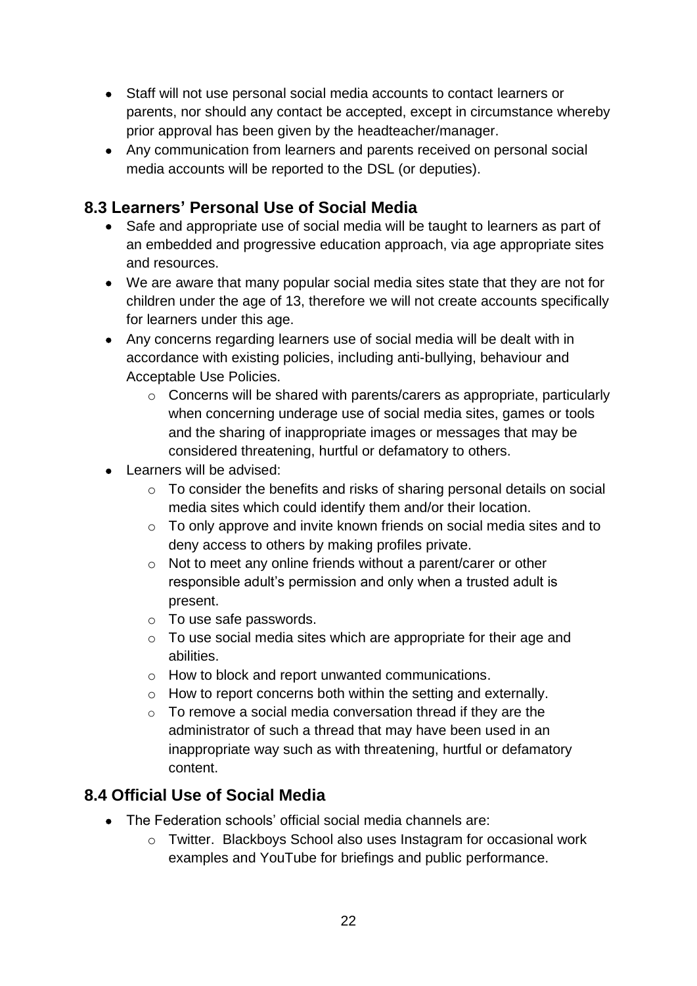- Staff will not use personal social media accounts to contact learners or parents, nor should any contact be accepted, except in circumstance whereby prior approval has been given by the headteacher/manager.
- Any communication from learners and parents received on personal social media accounts will be reported to the DSL (or deputies).

# **8.3 Learners' Personal Use of Social Media**

- Safe and appropriate use of social media will be taught to learners as part of an embedded and progressive education approach, via age appropriate sites and resources.
- We are aware that many popular social media sites state that they are not for children under the age of 13, therefore we will not create accounts specifically for learners under this age.
- Any concerns regarding learners use of social media will be dealt with in accordance with existing policies, including anti-bullying, behaviour and Acceptable Use Policies.
	- o Concerns will be shared with parents/carers as appropriate, particularly when concerning underage use of social media sites, games or tools and the sharing of inappropriate images or messages that may be considered threatening, hurtful or defamatory to others.
- Learners will be advised:
	- $\circ$  To consider the benefits and risks of sharing personal details on social media sites which could identify them and/or their location.
	- $\circ$  To only approve and invite known friends on social media sites and to deny access to others by making profiles private.
	- o Not to meet any online friends without a parent/carer or other responsible adult's permission and only when a trusted adult is present.
	- o To use safe passwords.
	- o To use social media sites which are appropriate for their age and abilities.
	- o How to block and report unwanted communications.
	- o How to report concerns both within the setting and externally.
	- $\circ$  To remove a social media conversation thread if they are the administrator of such a thread that may have been used in an inappropriate way such as with threatening, hurtful or defamatory content.

# **8.4 Official Use of Social Media**

- The Federation schools' official social media channels are:
	- o Twitter. Blackboys School also uses Instagram for occasional work examples and YouTube for briefings and public performance.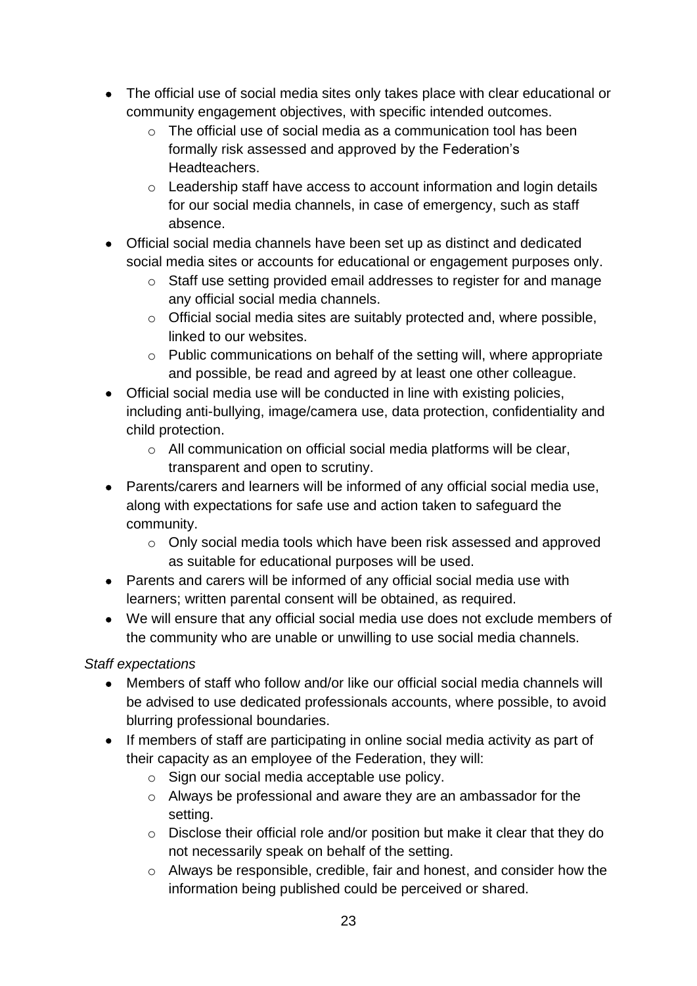- The official use of social media sites only takes place with clear educational or community engagement objectives, with specific intended outcomes.
	- o The official use of social media as a communication tool has been formally risk assessed and approved by the Federation's Headteachers.
	- o Leadership staff have access to account information and login details for our social media channels, in case of emergency, such as staff absence.
- Official social media channels have been set up as distinct and dedicated social media sites or accounts for educational or engagement purposes only.
	- o Staff use setting provided email addresses to register for and manage any official social media channels.
	- o Official social media sites are suitably protected and, where possible, linked to our websites.
	- o Public communications on behalf of the setting will, where appropriate and possible, be read and agreed by at least one other colleague.
- Official social media use will be conducted in line with existing policies, including anti-bullying, image/camera use, data protection, confidentiality and child protection.
	- o All communication on official social media platforms will be clear, transparent and open to scrutiny.
- Parents/carers and learners will be informed of any official social media use, along with expectations for safe use and action taken to safeguard the community.
	- o Only social media tools which have been risk assessed and approved as suitable for educational purposes will be used.
- Parents and carers will be informed of any official social media use with learners; written parental consent will be obtained, as required.
- We will ensure that any official social media use does not exclude members of the community who are unable or unwilling to use social media channels.

*Staff expectations*

- Members of staff who follow and/or like our official social media channels will be advised to use dedicated professionals accounts, where possible, to avoid blurring professional boundaries.
- If members of staff are participating in online social media activity as part of their capacity as an employee of the Federation, they will:
	- o Sign our social media acceptable use policy.
	- o Always be professional and aware they are an ambassador for the setting.
	- o Disclose their official role and/or position but make it clear that they do not necessarily speak on behalf of the setting.
	- o Always be responsible, credible, fair and honest, and consider how the information being published could be perceived or shared.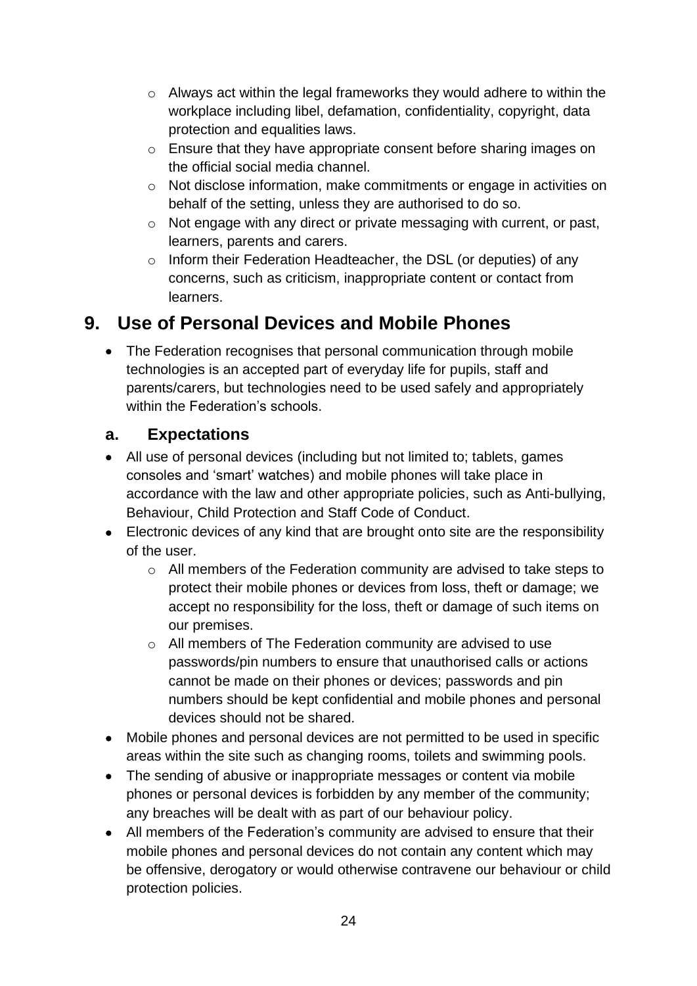- o Always act within the legal frameworks they would adhere to within the workplace including libel, defamation, confidentiality, copyright, data protection and equalities laws.
- o Ensure that they have appropriate consent before sharing images on the official social media channel.
- o Not disclose information, make commitments or engage in activities on behalf of the setting, unless they are authorised to do so.
- o Not engage with any direct or private messaging with current, or past, learners, parents and carers.
- o Inform their Federation Headteacher, the DSL (or deputies) of any concerns, such as criticism, inappropriate content or contact from learners.

# **9. Use of Personal Devices and Mobile Phones**

• The Federation recognises that personal communication through mobile technologies is an accepted part of everyday life for pupils, staff and parents/carers, but technologies need to be used safely and appropriately within the Federation's schools.

# **a. Expectations**

- All use of personal devices (including but not limited to; tablets, games consoles and 'smart' watches) and mobile phones will take place in accordance with the law and other appropriate policies, such as Anti-bullying, Behaviour, Child Protection and Staff Code of Conduct.
- Electronic devices of any kind that are brought onto site are the responsibility of the user.
	- o All members of the Federation community are advised to take steps to protect their mobile phones or devices from loss, theft or damage; we accept no responsibility for the loss, theft or damage of such items on our premises.
	- o All members of The Federation community are advised to use passwords/pin numbers to ensure that unauthorised calls or actions cannot be made on their phones or devices; passwords and pin numbers should be kept confidential and mobile phones and personal devices should not be shared.
- Mobile phones and personal devices are not permitted to be used in specific areas within the site such as changing rooms, toilets and swimming pools.
- The sending of abusive or inappropriate messages or content via mobile phones or personal devices is forbidden by any member of the community; any breaches will be dealt with as part of our behaviour policy.
- All members of the Federation's community are advised to ensure that their mobile phones and personal devices do not contain any content which may be offensive, derogatory or would otherwise contravene our behaviour or child protection policies.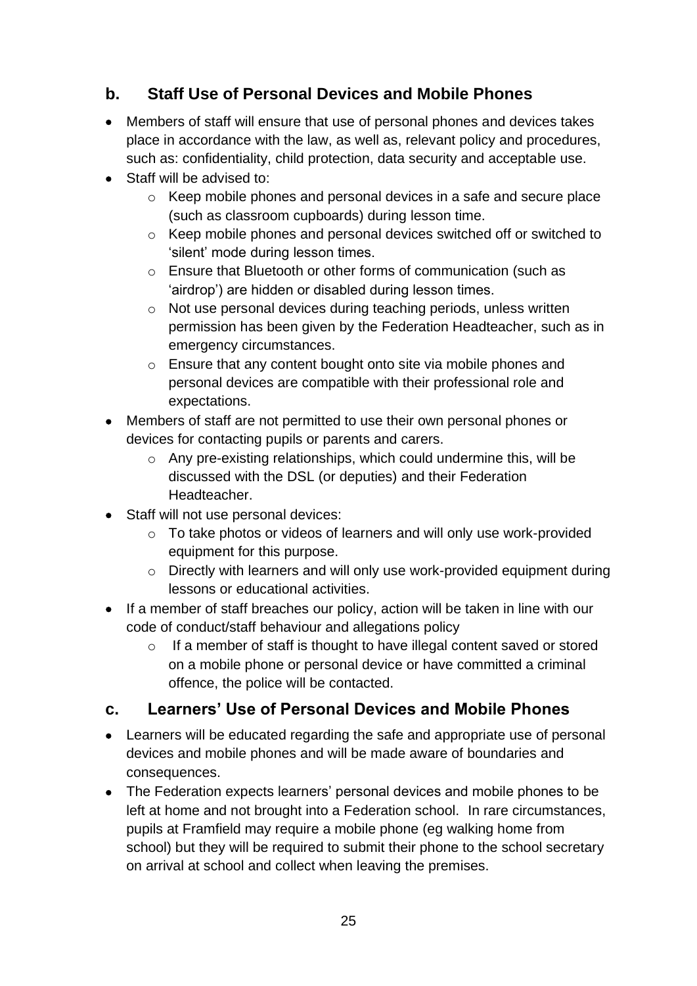# **b. Staff Use of Personal Devices and Mobile Phones**

- Members of staff will ensure that use of personal phones and devices takes place in accordance with the law, as well as, relevant policy and procedures, such as: confidentiality, child protection, data security and acceptable use.
- Staff will be advised to:
	- o Keep mobile phones and personal devices in a safe and secure place (such as classroom cupboards) during lesson time.
	- o Keep mobile phones and personal devices switched off or switched to 'silent' mode during lesson times.
	- o Ensure that Bluetooth or other forms of communication (such as 'airdrop') are hidden or disabled during lesson times.
	- o Not use personal devices during teaching periods, unless written permission has been given by the Federation Headteacher, such as in emergency circumstances.
	- o Ensure that any content bought onto site via mobile phones and personal devices are compatible with their professional role and expectations.
- Members of staff are not permitted to use their own personal phones or devices for contacting pupils or parents and carers.
	- o Any pre-existing relationships, which could undermine this, will be discussed with the DSL (or deputies) and their Federation Headteacher.
- Staff will not use personal devices:
	- o To take photos or videos of learners and will only use work-provided equipment for this purpose.
	- o Directly with learners and will only use work-provided equipment during lessons or educational activities.
- If a member of staff breaches our policy, action will be taken in line with our code of conduct/staff behaviour and allegations policy
	- $\circ$  If a member of staff is thought to have illegal content saved or stored on a mobile phone or personal device or have committed a criminal offence, the police will be contacted.

# **c. Learners' Use of Personal Devices and Mobile Phones**

- Learners will be educated regarding the safe and appropriate use of personal devices and mobile phones and will be made aware of boundaries and consequences.
- The Federation expects learners' personal devices and mobile phones to be left at home and not brought into a Federation school. In rare circumstances, pupils at Framfield may require a mobile phone (eg walking home from school) but they will be required to submit their phone to the school secretary on arrival at school and collect when leaving the premises.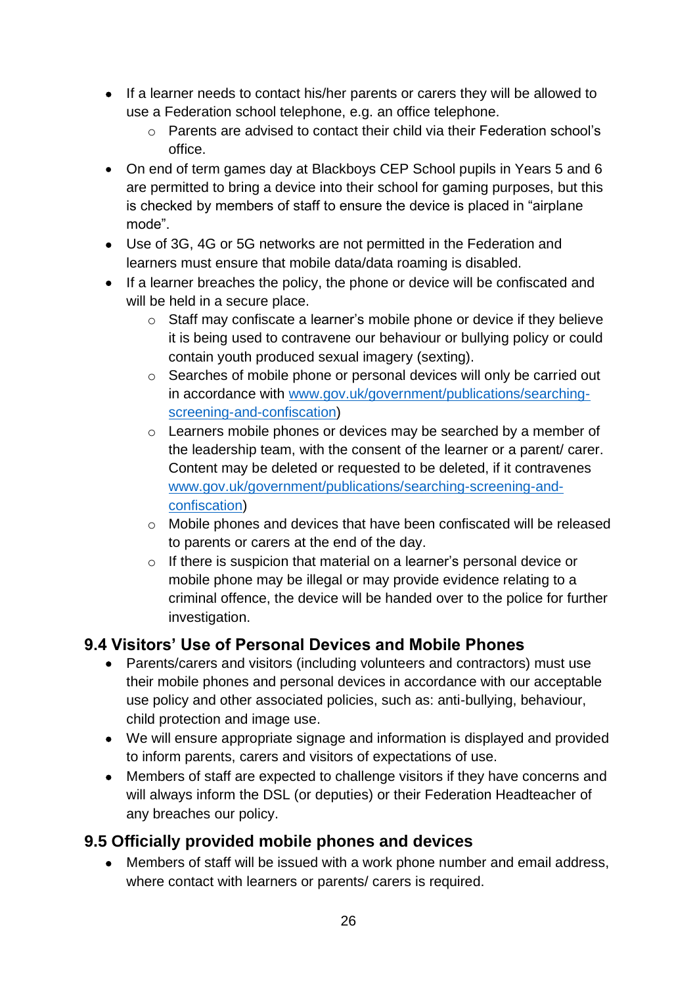- If a learner needs to contact his/her parents or carers they will be allowed to use a Federation school telephone, e.g. an office telephone.
	- o Parents are advised to contact their child via their Federation school's office.
- On end of term games day at Blackboys CEP School pupils in Years 5 and 6 are permitted to bring a device into their school for gaming purposes, but this is checked by members of staff to ensure the device is placed in "airplane mode".
- Use of 3G, 4G or 5G networks are not permitted in the Federation and learners must ensure that mobile data/data roaming is disabled.
- If a learner breaches the policy, the phone or device will be confiscated and will be held in a secure place.
	- o Staff may confiscate a learner's mobile phone or device if they believe it is being used to contravene our behaviour or bullying policy or could contain youth produced sexual imagery (sexting).
	- o Searches of mobile phone or personal devices will only be carried out in accordance with [www.gov.uk/government/publications/searching](http://www.gov.uk/government/publications/searching-screening-and-confiscation)[screening-and-confiscation\)](http://www.gov.uk/government/publications/searching-screening-and-confiscation)
	- o Learners mobile phones or devices may be searched by a member of the leadership team, with the consent of the learner or a parent/ carer. Content may be deleted or requested to be deleted, if it contravenes [www.gov.uk/government/publications/searching-screening-and](http://www.gov.uk/government/publications/searching-screening-and-confiscation)[confiscation\)](http://www.gov.uk/government/publications/searching-screening-and-confiscation)
	- o Mobile phones and devices that have been confiscated will be released to parents or carers at the end of the day.
	- o If there is suspicion that material on a learner's personal device or mobile phone may be illegal or may provide evidence relating to a criminal offence, the device will be handed over to the police for further investigation.

# **9.4 Visitors' Use of Personal Devices and Mobile Phones**

- Parents/carers and visitors (including volunteers and contractors) must use their mobile phones and personal devices in accordance with our acceptable use policy and other associated policies, such as: anti-bullying, behaviour, child protection and image use.
- We will ensure appropriate signage and information is displayed and provided to inform parents, carers and visitors of expectations of use.
- Members of staff are expected to challenge visitors if they have concerns and will always inform the DSL (or deputies) or their Federation Headteacher of any breaches our policy.

# **9.5 Officially provided mobile phones and devices**

• Members of staff will be issued with a work phone number and email address, where contact with learners or parents/ carers is required.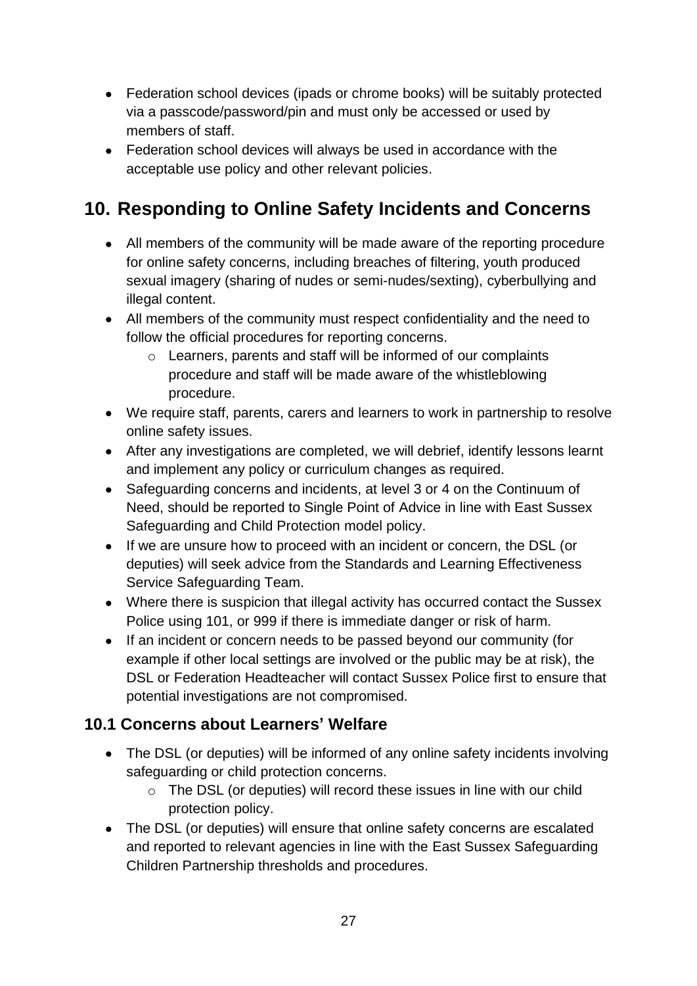- Federation school devices (ipads or chrome books) will be suitably protected via a passcode/password/pin and must only be accessed or used by members of staff.
- Federation school devices will always be used in accordance with the acceptable use policy and other relevant policies.

# **10. Responding to Online Safety Incidents and Concerns**

- All members of the community will be made aware of the reporting procedure for online safety concerns, including breaches of filtering, youth produced sexual imagery (sharing of nudes or semi-nudes/sexting), cyberbullying and illegal content.
- All members of the community must respect confidentiality and the need to follow the official procedures for reporting concerns.
	- o Learners, parents and staff will be informed of our complaints procedure and staff will be made aware of the whistleblowing procedure.
- We require staff, parents, carers and learners to work in partnership to resolve online safety issues.
- After any investigations are completed, we will debrief, identify lessons learnt and implement any policy or curriculum changes as required.
- Safeguarding concerns and incidents, at level 3 or 4 on the Continuum of Need, should be reported to Single Point of Advice in line with East Sussex Safeguarding and Child Protection model policy.
- If we are unsure how to proceed with an incident or concern, the DSL (or deputies) will seek advice from the Standards and Learning Effectiveness Service Safeguarding Team.
- Where there is suspicion that illegal activity has occurred contact the Sussex Police using 101, or 999 if there is immediate danger or risk of harm.
- If an incident or concern needs to be passed beyond our community (for example if other local settings are involved or the public may be at risk), the DSL or Federation Headteacher will contact Sussex Police first to ensure that potential investigations are not compromised.

### **10.1 Concerns about Learners' Welfare**

- The DSL (or deputies) will be informed of any online safety incidents involving safeguarding or child protection concerns.
	- o The DSL (or deputies) will record these issues in line with our child protection policy.
- The DSL (or deputies) will ensure that online safety concerns are escalated and reported to relevant agencies in line with the East Sussex Safeguarding Children Partnership thresholds and procedures.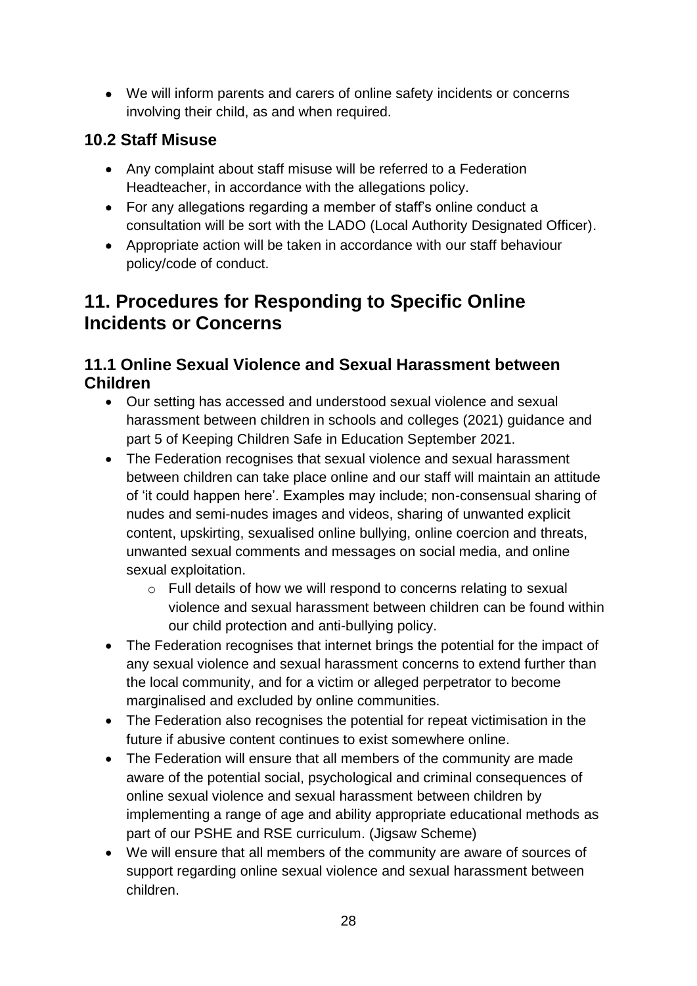• We will inform parents and carers of online safety incidents or concerns involving their child, as and when required.

# **10.2 Staff Misuse**

- Any complaint about staff misuse will be referred to a Federation Headteacher, in accordance with the allegations policy.
- For any allegations regarding a member of staff's online conduct a consultation will be sort with the LADO (Local Authority Designated Officer).
- Appropriate action will be taken in accordance with our staff behaviour policy/code of conduct.

# **11. Procedures for Responding to Specific Online Incidents or Concerns**

# **11.1 Online Sexual Violence and Sexual Harassment between Children**

- Our setting has accessed and understood sexual violence and sexual harassment between children in schools and colleges (2021) guidance and part 5 of Keeping Children Safe in Education September 2021.
- The Federation recognises that sexual violence and sexual harassment between children can take place online and our staff will maintain an attitude of 'it could happen here'. Examples may include; non-consensual sharing of nudes and semi-nudes images and videos, sharing of unwanted explicit content, upskirting, sexualised online bullying, online coercion and threats, unwanted sexual comments and messages on social media, and online sexual exploitation.
	- o Full details of how we will respond to concerns relating to sexual violence and sexual harassment between children can be found within our child protection and anti-bullying policy.
- The Federation recognises that internet brings the potential for the impact of any sexual violence and sexual harassment concerns to extend further than the local community, and for a victim or alleged perpetrator to become marginalised and excluded by online communities.
- The Federation also recognises the potential for repeat victimisation in the future if abusive content continues to exist somewhere online.
- The Federation will ensure that all members of the community are made aware of the potential social, psychological and criminal consequences of online sexual violence and sexual harassment between children by implementing a range of age and ability appropriate educational methods as part of our PSHE and RSE curriculum. (Jigsaw Scheme)
- We will ensure that all members of the community are aware of sources of support regarding online sexual violence and sexual harassment between children.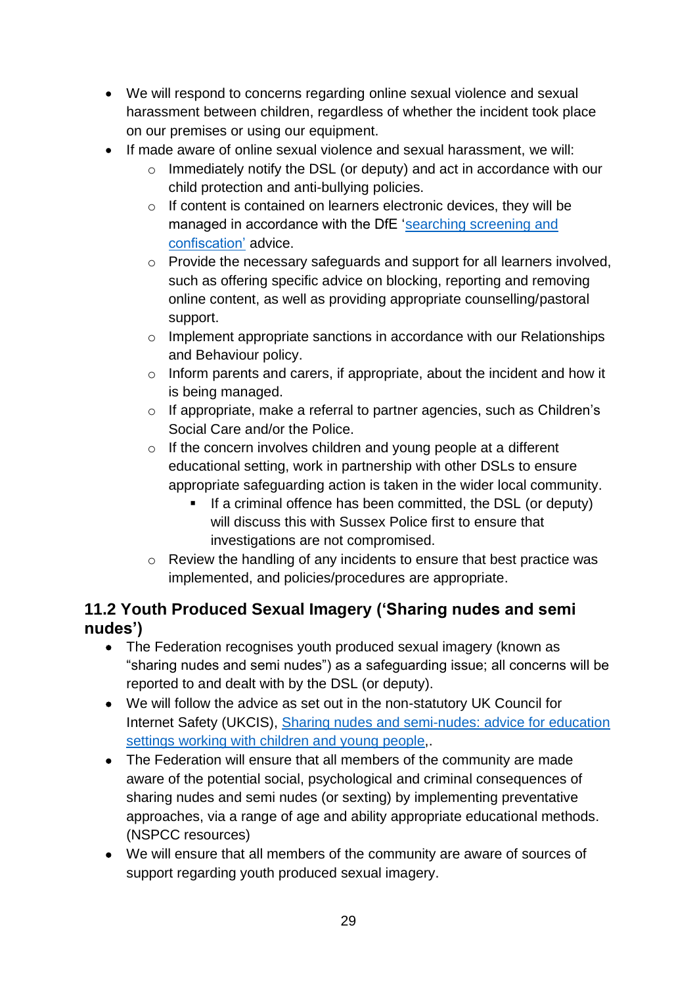- We will respond to concerns regarding online sexual violence and sexual harassment between children, regardless of whether the incident took place on our premises or using our equipment.
- If made aware of online sexual violence and sexual harassment, we will:
	- $\circ$  Immediately notify the DSL (or deputy) and act in accordance with our child protection and anti-bullying policies.
	- o If content is contained on learners electronic devices, they will be managed in accordance with the DfE ['searching screening and](https://www.gov.uk/government/publications/searching-screening-and-confiscation)  [confiscation'](https://www.gov.uk/government/publications/searching-screening-and-confiscation) advice.
	- o Provide the necessary safeguards and support for all learners involved, such as offering specific advice on blocking, reporting and removing online content, as well as providing appropriate counselling/pastoral support.
	- o Implement appropriate sanctions in accordance with our Relationships and Behaviour policy.
	- o Inform parents and carers, if appropriate, about the incident and how it is being managed.
	- o If appropriate, make a referral to partner agencies, such as Children's Social Care and/or the Police.
	- o If the concern involves children and young people at a different educational setting, work in partnership with other DSLs to ensure appropriate safeguarding action is taken in the wider local community.
		- If a criminal offence has been committed, the DSL (or deputy) will discuss this with Sussex Police first to ensure that investigations are not compromised.
	- o Review the handling of any incidents to ensure that best practice was implemented, and policies/procedures are appropriate.

# **11.2 Youth Produced Sexual Imagery ('Sharing nudes and semi nudes')**

- The Federation recognises youth produced sexual imagery (known as "sharing nudes and semi nudes") as a safeguarding issue; all concerns will be reported to and dealt with by the DSL (or deputy).
- We will follow the advice as set out in the non-statutory UK Council for Internet Safety (UKCIS), Sharing nudes and [semi-nudes:](https://www.gov.uk/government/publications/sharing-nudes-and-semi-nudes-advice-for-education-settings-working-with-children-and-young-people) advice for education settings working with [children](https://www.gov.uk/government/publications/sharing-nudes-and-semi-nudes-advice-for-education-settings-working-with-children-and-young-people) and young people,.
- The Federation will ensure that all members of the community are made aware of the potential social, psychological and criminal consequences of sharing nudes and semi nudes (or sexting) by implementing preventative approaches, via a range of age and ability appropriate educational methods. (NSPCC resources)
- We will ensure that all members of the community are aware of sources of support regarding youth produced sexual imagery.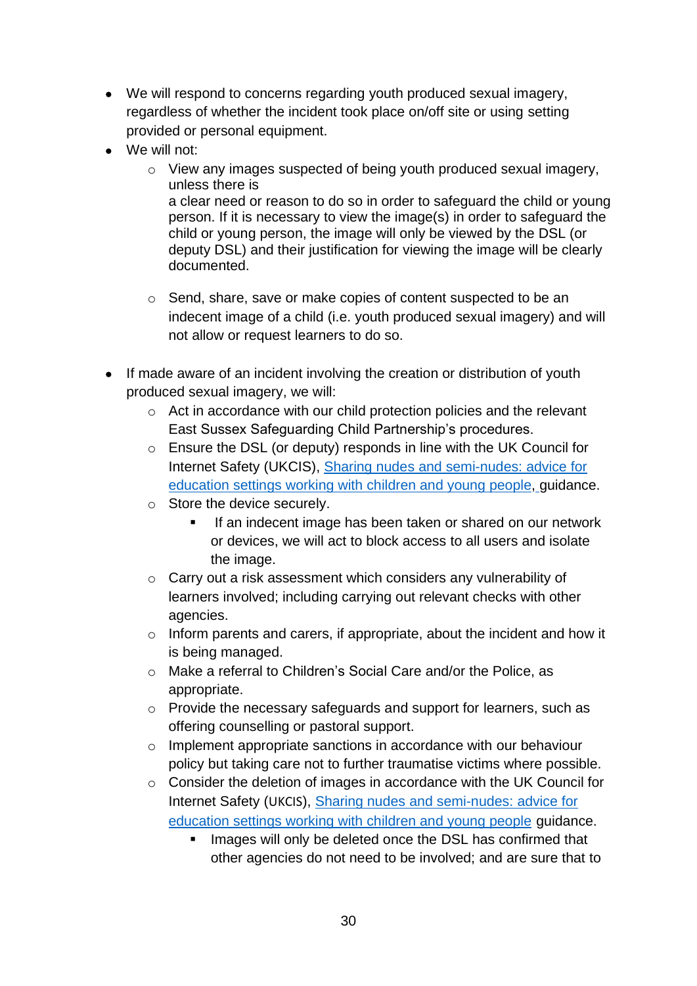- We will respond to concerns regarding youth produced sexual imagery, regardless of whether the incident took place on/off site or using setting provided or personal equipment.
- We will not:
	- o View any images suspected of being youth produced sexual imagery, unless there is a clear need or reason to do so in order to safeguard the child or young person. If it is necessary to view the image(s) in order to safeguard the child or young person, the image will only be viewed by the DSL (or deputy DSL) and their justification for viewing the image will be clearly documented.
	- o Send, share, save or make copies of content suspected to be an indecent image of a child (i.e. youth produced sexual imagery) and will not allow or request learners to do so.
- If made aware of an incident involving the creation or distribution of youth produced sexual imagery, we will:
	- o Act in accordance with our child protection policies and the relevant East Sussex Safeguarding Child Partnership's procedures.
	- o Ensure the DSL (or deputy) responds in line with the UK Council for Internet Safety (UKCIS), Sharing nudes and [semi-nudes:](https://www.gov.uk/government/publications/sharing-nudes-and-semi-nudes-advice-for-education-settings-working-with-children-and-young-people) advice for [education](https://www.gov.uk/government/publications/sharing-nudes-and-semi-nudes-advice-for-education-settings-working-with-children-and-young-people) settings working with children and young people, guidance.
	- o Store the device securely.
		- If an indecent image has been taken or shared on our network or devices, we will act to block access to all users and isolate the image.
	- o Carry out a risk assessment which considers any vulnerability of learners involved; including carrying out relevant checks with other agencies.
	- o Inform parents and carers, if appropriate, about the incident and how it is being managed.
	- o Make a referral to Children's Social Care and/or the Police, as appropriate.
	- o Provide the necessary safeguards and support for learners, such as offering counselling or pastoral support.
	- o Implement appropriate sanctions in accordance with our behaviour policy but taking care not to further traumatise victims where possible.
	- o Consider the deletion of images in accordance with the UK Council for Internet Safety (UKCIS), Sharing nudes and [semi-nudes:](https://www.gov.uk/government/publications/sharing-nudes-and-semi-nudes-advice-for-education-settings-working-with-children-and-young-people) advice for [education](https://www.gov.uk/government/publications/sharing-nudes-and-semi-nudes-advice-for-education-settings-working-with-children-and-young-people) settings working with children and young people guidance.
		- Images will only be deleted once the DSL has confirmed that other agencies do not need to be involved; and are sure that to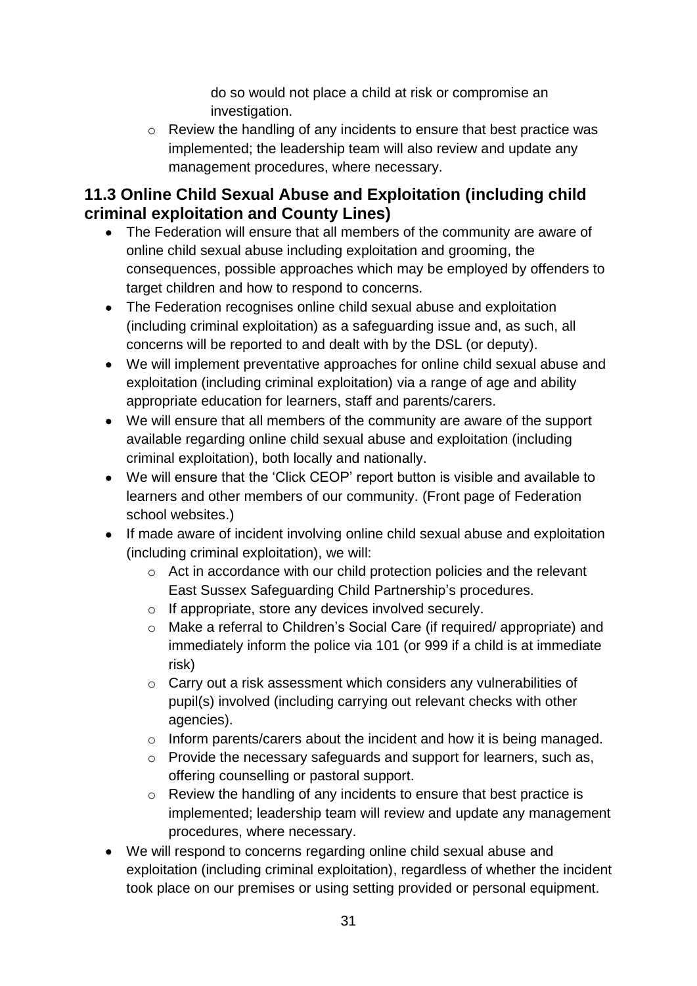do so would not place a child at risk or compromise an investigation.

o Review the handling of any incidents to ensure that best practice was implemented; the leadership team will also review and update any management procedures, where necessary.

# **11.3 Online Child Sexual Abuse and Exploitation (including child criminal exploitation and County Lines)**

- The Federation will ensure that all members of the community are aware of online child sexual abuse including exploitation and grooming, the consequences, possible approaches which may be employed by offenders to target children and how to respond to concerns.
- The Federation recognises online child sexual abuse and exploitation (including criminal exploitation) as a safeguarding issue and, as such, all concerns will be reported to and dealt with by the DSL (or deputy).
- We will implement preventative approaches for online child sexual abuse and exploitation (including criminal exploitation) via a range of age and ability appropriate education for learners, staff and parents/carers.
- We will ensure that all members of the community are aware of the support available regarding online child sexual abuse and exploitation (including criminal exploitation), both locally and nationally.
- We will ensure that the 'Click CEOP' report button is visible and available to learners and other members of our community. (Front page of Federation school websites.)
- If made aware of incident involving online child sexual abuse and exploitation (including criminal exploitation), we will:
	- o Act in accordance with our child protection policies and the relevant East Sussex Safeguarding Child Partnership's procedures.
	- o If appropriate, store any devices involved securely.
	- o Make a referral to Children's Social Care (if required/ appropriate) and immediately inform the police via 101 (or 999 if a child is at immediate risk)
	- o Carry out a risk assessment which considers any vulnerabilities of pupil(s) involved (including carrying out relevant checks with other agencies).
	- o Inform parents/carers about the incident and how it is being managed.
	- o Provide the necessary safeguards and support for learners, such as, offering counselling or pastoral support.
	- o Review the handling of any incidents to ensure that best practice is implemented; leadership team will review and update any management procedures, where necessary.
- We will respond to concerns regarding online child sexual abuse and exploitation (including criminal exploitation), regardless of whether the incident took place on our premises or using setting provided or personal equipment.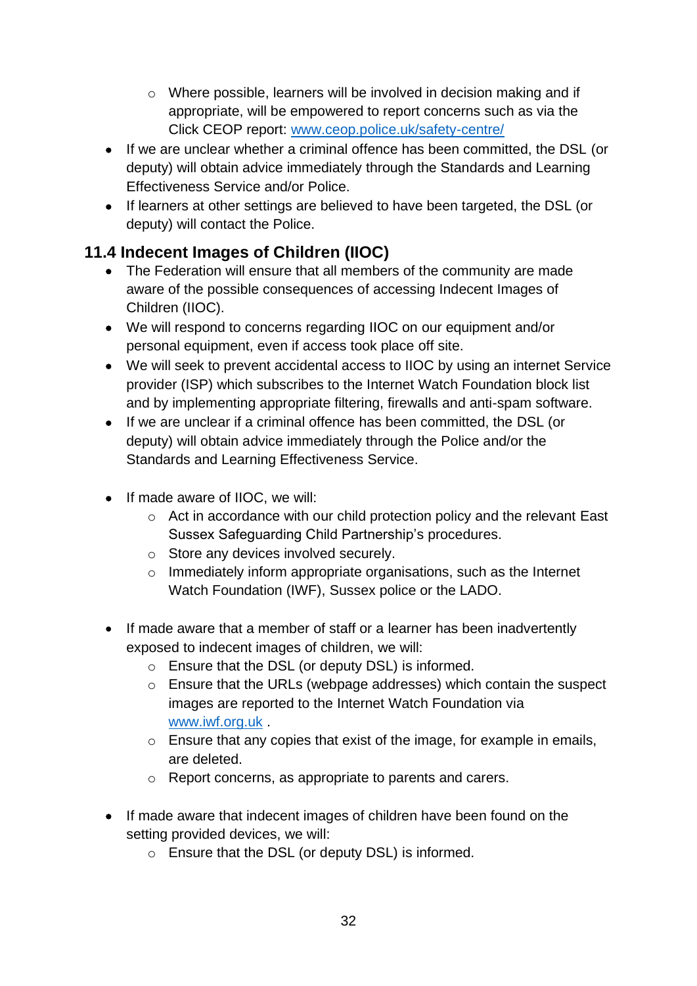- o Where possible, learners will be involved in decision making and if appropriate, will be empowered to report concerns such as via the Click CEOP report: [www.ceop.police.uk/safety-centre/](http://www.ceop.police.uk/safety-centre/)
- If we are unclear whether a criminal offence has been committed, the DSL (or deputy) will obtain advice immediately through the Standards and Learning Effectiveness Service and/or Police.
- If learners at other settings are believed to have been targeted, the DSL (or deputy) will contact the Police.

# **11.4 Indecent Images of Children (IIOC)**

- The Federation will ensure that all members of the community are made aware of the possible consequences of accessing Indecent Images of Children (IIOC).
- We will respond to concerns regarding IIOC on our equipment and/or personal equipment, even if access took place off site.
- We will seek to prevent accidental access to IIOC by using an internet Service provider (ISP) which subscribes to the Internet Watch Foundation block list and by implementing appropriate filtering, firewalls and anti-spam software.
- If we are unclear if a criminal offence has been committed, the DSL (or deputy) will obtain advice immediately through the Police and/or the Standards and Learning Effectiveness Service.
- If made aware of IIOC, we will:
	- o Act in accordance with our child protection policy and the relevant East Sussex Safeguarding Child Partnership's procedures.
	- o Store any devices involved securely.
	- $\circ$  Immediately inform appropriate organisations, such as the Internet Watch Foundation (IWF), Sussex police or the LADO.
- If made aware that a member of staff or a learner has been inadvertently exposed to indecent images of children, we will:
	- o Ensure that the DSL (or deputy DSL) is informed.
	- o Ensure that the URLs (webpage addresses) which contain the suspect images are reported to the Internet Watch Foundation via [www.iwf.org.uk](https://www.iwf.org.uk/) .
	- o Ensure that any copies that exist of the image, for example in emails, are deleted.
	- o Report concerns, as appropriate to parents and carers.
- If made aware that indecent images of children have been found on the setting provided devices, we will:
	- o Ensure that the DSL (or deputy DSL) is informed.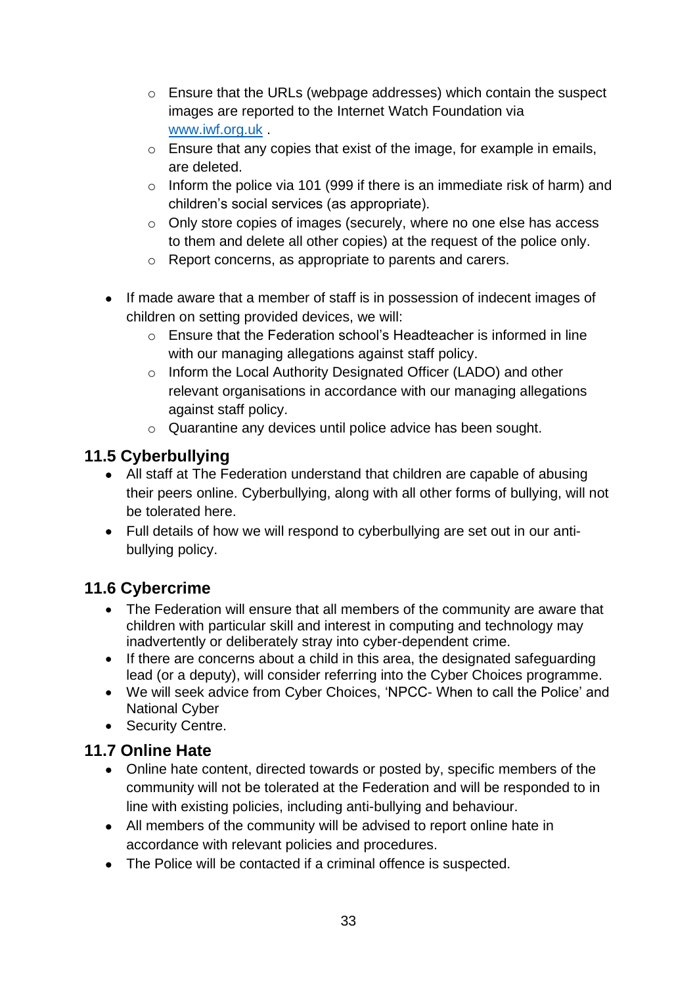- o Ensure that the URLs (webpage addresses) which contain the suspect images are reported to the Internet Watch Foundation via [www.iwf.org.uk](https://www.iwf.org.uk/) .
- o Ensure that any copies that exist of the image, for example in emails, are deleted.
- o Inform the police via 101 (999 if there is an immediate risk of harm) and children's social services (as appropriate).
- o Only store copies of images (securely, where no one else has access to them and delete all other copies) at the request of the police only.
- o Report concerns, as appropriate to parents and carers.
- If made aware that a member of staff is in possession of indecent images of children on setting provided devices, we will:
	- $\circ$  Ensure that the Federation school's Headteacher is informed in line with our managing allegations against staff policy.
	- o Inform the Local Authority Designated Officer (LADO) and other relevant organisations in accordance with our managing allegations against staff policy.
	- o Quarantine any devices until police advice has been sought.

# **11.5 Cyberbullying**

- All staff at The Federation understand that children are capable of abusing their peers online. Cyberbullying, along with all other forms of bullying, will not be tolerated here.
- Full details of how we will respond to cyberbullying are set out in our antibullying policy.

# **11.6 Cybercrime**

- The Federation will ensure that all members of the community are aware that children with particular skill and interest in computing and technology may inadvertently or deliberately stray into cyber-dependent crime.
- If there are concerns about a child in this area, the designated safeguarding lead (or a deputy), will consider referring into the Cyber Choices programme.
- We will seek advice from Cyber Choices, 'NPCC- When to call the Police' and National Cyber
- Security Centre.

# **11.7 Online Hate**

- Online hate content, directed towards or posted by, specific members of the community will not be tolerated at the Federation and will be responded to in line with existing policies, including anti-bullying and behaviour.
- All members of the community will be advised to report online hate in accordance with relevant policies and procedures.
- The Police will be contacted if a criminal offence is suspected.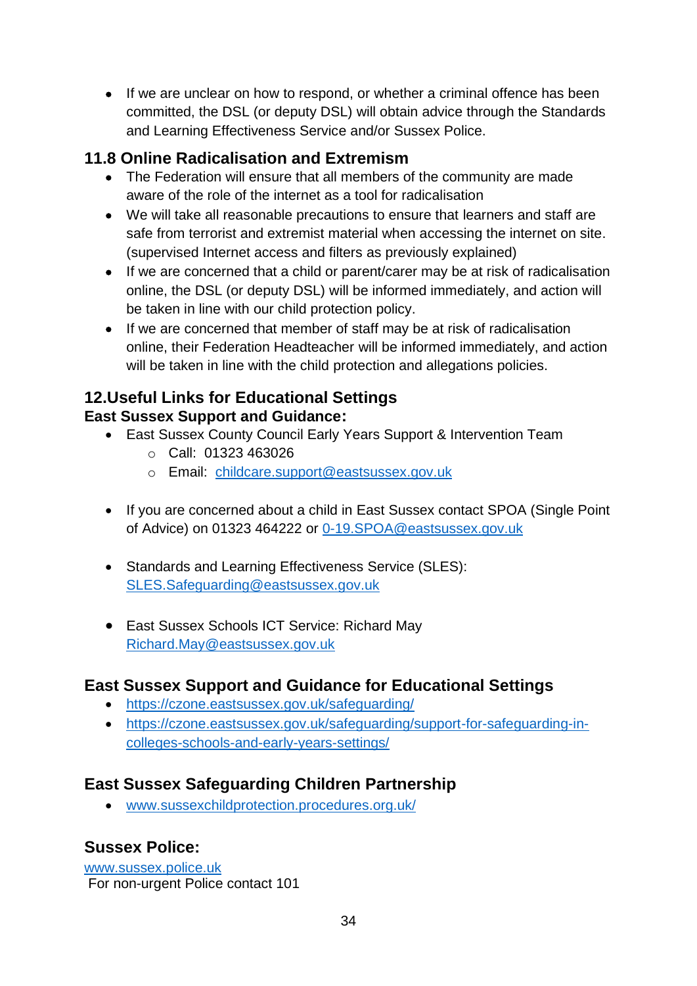• If we are unclear on how to respond, or whether a criminal offence has been committed, the DSL (or deputy DSL) will obtain advice through the Standards and Learning Effectiveness Service and/or Sussex Police.

# **11.8 Online Radicalisation and Extremism**

- The Federation will ensure that all members of the community are made aware of the role of the internet as a tool for radicalisation
- We will take all reasonable precautions to ensure that learners and staff are safe from terrorist and extremist material when accessing the internet on site. (supervised Internet access and filters as previously explained)
- If we are concerned that a child or parent/carer may be at risk of radicalisation online, the DSL (or deputy DSL) will be informed immediately, and action will be taken in line with our child protection policy.
- If we are concerned that member of staff may be at risk of radicalisation online, their Federation Headteacher will be informed immediately, and action will be taken in line with the child protection and allegations policies.

### **12.Useful Links for Educational Settings East Sussex Support and Guidance:**

- East Sussex County Council Early Years Support & Intervention Team
	- o Call: 01323 463026
	- o Email: [childcare.support@eastsussex.gov.uk](mailto:childcare.support@eastsussex.gov.uk)
- If you are concerned about a child in East Sussex contact SPOA (Single Point of Advice) on 01323 464222 or [0-19.SPOA@eastsussex.gov.uk](mailto:0-19.SPOA@eastsussex.gov.uk)
- Standards and Learning Effectiveness Service (SLES): [SLES.Safeguarding@eastsussex.gov.uk](mailto:SLES.Safeguarding@eastsussex.gov.uk)
- East Sussex Schools ICT Service: Richard May [Richard.May@eastsussex.gov.uk](mailto:Richard.May@eastsussex.gov.uk)

# **East Sussex Support and Guidance for Educational Settings**

- <https://czone.eastsussex.gov.uk/safeguarding/>
- [https://czone.eastsussex.gov.uk/safeguarding/support-for-safeguarding-in](https://czone.eastsussex.gov.uk/safeguarding/support-for-safeguarding-in-colleges-schools-and-early-years-settings/)[colleges-schools-and-early-years-settings/](https://czone.eastsussex.gov.uk/safeguarding/support-for-safeguarding-in-colleges-schools-and-early-years-settings/)

# **East Sussex Safeguarding Children Partnership**

• www[.sussexchildprotection.procedures.org.uk/](https://sussexchildprotection.procedures.org.uk/)

# **Sussex Police:**

[www.sussex.police.uk](http://www.sussex.police.uk/) For non-urgent Police contact 101